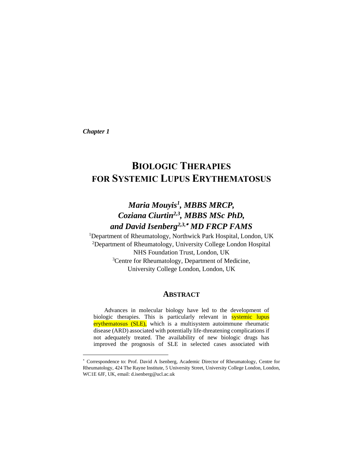*Chapter 1*

# **BIOLOGIC THERAPIES FOR SYSTEMIC LUPUS ERYTHEMATOSUS**

# *Maria Mouyis<sup>1</sup> , MBBS MRCP, Coziana Ciurtin2,3, MBBS MSc PhD, and David Isenberg2,3, MD FRCP FAMS*

<sup>1</sup>Department of Rheumatology, Northwick Park Hospital, London, UK <sup>2</sup>Department of Rheumatology, University College London Hospital NHS Foundation Trust, London, UK <sup>3</sup>Centre for Rheumatology, Department of Medicine, University College London, London, UK

# **ABSTRACT**

Advances in molecular biology have led to the development of biologic therapies. This is particularly relevant in systemic lupus erythematosus (SLE), which is a multisystem autoimmune rheumatic disease (ARD) associated with potentially life-threatening complications if not adequately treated. The availability of new biologic drugs has improved the prognosis of SLE in selected cases associated with

Correspondence to: Prof. David A Isenberg, Academic Director of Rheumatology, Centre for Rheumatology, 424 The Rayne Institute, 5 University Street, University College London, London, WC1E 6JF, UK, email: d.isenberg@ucl.ac.uk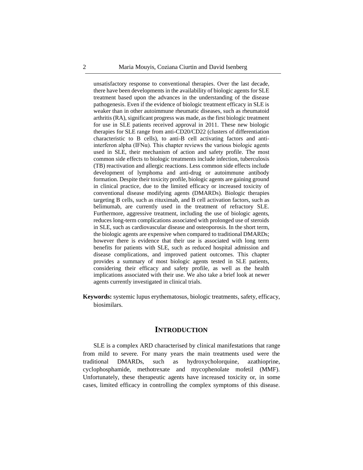unsatisfactory response to conventional therapies. Over the last decade, there have been developments in the availability of biologic agents for SLE treatment based upon the advances in the understanding of the disease pathogenesis. Even if the evidence of biologic treatment efficacy in SLE is weaker than in other autoimmune rheumatic diseases, such as rheumatoid arthritis (RA), significant progress was made, as the first biologic treatment for use in SLE patients received approval in 2011. These new biologic therapies for SLE range from anti-CD20/CD22 (clusters of differentiation characteristic to B cells), to anti-B cell activating factors and antiinterferon alpha (IFN $\alpha$ ). This chapter reviews the various biologic agents used in SLE, their mechanism of action and safety profile. The most common side effects to biologic treatments include infection, tuberculosis (TB) reactivation and allergic reactions. Less common side effects include development of lymphoma and anti-drug or autoimmune antibody formation. Despite their toxicity profile, biologic agents are gaining ground in clinical practice, due to the limited efficacy or increased toxicity of conventional disease modifying agents (DMARDs). Biologic therapies targeting B cells, such as rituximab, and B cell activation factors, such as belimumab, are currently used in the treatment of refractory SLE. Furthermore, aggressive treatment, including the use of biologic agents, reduces long-term complications associated with prolonged use of steroids in SLE, such as cardiovascular disease and osteoporosis. In the short term, the biologic agents are expensive when compared to traditional DMARDs; however there is evidence that their use is associated with long term benefits for patients with SLE, such as reduced hospital admission and disease complications, and improved patient outcomes. This chapter provides a summary of most biologic agents tested in SLE patients, considering their efficacy and safety profile, as well as the health implications associated with their use. We also take a brief look at newer agents currently investigated in clinical trials.

**Keywords:** systemic lupus erythematosus, biologic treatments, safety, efficacy, biosimilars.

# **INTRODUCTION**

SLE is a complex ARD characterised by clinical manifestations that range from mild to severe. For many years the main treatments used were the traditional DMARDs, such as hydroxycholorquine, azathioprine, cyclophosphamide, methotrexate and mycophenolate mofetil (MMF). Unfortunately, these therapeutic agents have increased toxicity or, in some cases, limited efficacy in controlling the complex symptoms of this disease.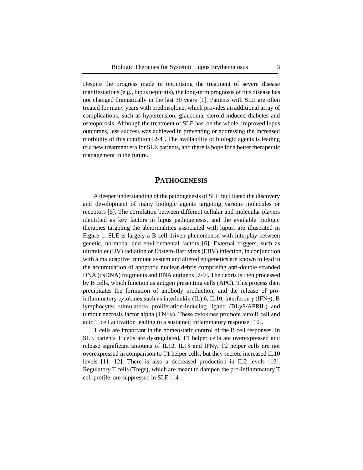Despite the progress made in optimising the treatment of severe disease manifestations (e.g., lupus nephritis), the long-term prognosis of this disease has not changed dramatically in the last 30 years [1]. Patients with SLE are often treated for many years with prednisolone, which provides an additional array of complications, such as hypertension, glaucoma, steroid induced diabetes and osteoporosis. Although the treatment of SLE has, on the whole, improved lupus outcomes, less success was achieved in preventing or addressing the increased morbidity of this condition [2-4]. The availability of biologic agents is leading to a new treatment era for SLE patients, and there is hope for a better therapeutic management in the future.

# **PATHOGENESIS**

A deeper understanding of the pathogenesis of SLE facilitated the discovery and development of many biologic agents targeting various molecules or receptors [5]. The correlation between different cellular and molecular players identified as key factors in lupus pathogenesis, and the available biologic therapies targeting the abnormalities associated with lupus, are illustrated in Figure 1. SLE is largely a B cell driven phenomenon with interplay between genetic, hormonal and environmental factors [6]. External triggers, such as ultraviolet (UV) radiation or Ebstein-Barr virus (EBV) infection, in conjunction with a maladaptive immune system and altered epigenetics are known to lead to the accumulation of apoptotic nuclear debris comprising anti-double stranded DNA (dsDNA) fragments and RNA antigens [7-9]. The debris is then processed by B cells, which function as antigen presenting cells (APC). This process then precipitates the formation of antibody production, and the release of proinflammatory cytokines such as interleukin (IL) 6, IL10, interferon  $\gamma$  (IFN $\gamma$ ), B lymphocytes stimulator/a proliferation-inducing ligand (BLyS/APRIL) and tumour necrosis factor alpha (TNF $\alpha$ ). These cytokines promote auto B cell and auto T cell activation leading to a sustained inflammatory response [10].

T cells are important in the homeostatic control of the B cell responses. In SLE patients T cells are dysregulated. T1 helper cells are overexpressed and release significant amounts of IL12, IL18 and IFNγ. T2 helper cells are not overexpressed in comparison to T1 helper cells, but they secrete increased IL10 levels [11, 12]. There is also a decreased production in IL2 levels [13]. Regulatory T cells (Tregs), which are meant to dampen the pro-inflammatory T cell profile, are suppressed in SLE [14].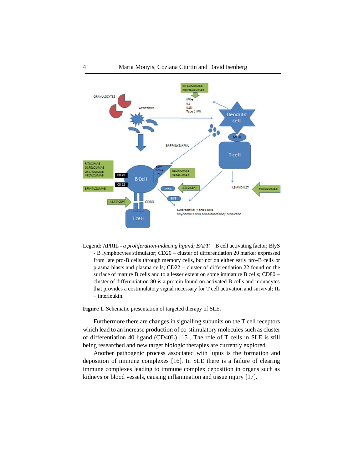

Legend: APRIL - *a proliferation-inducing ligand; BAFF –* B cell activating factor; BlyS - B lymphocytes stimulator; CD20 – cluster of differentiation 20 marker expressed from late pro-B cells through memory cells, but not on either early pro-B cells or plasma blasts and plasma cells; CD22 – cluster of differentiation 22 found on the surface of mature B cells and to a lesser extent on some immature B cells; CD80 – cluster of differentiation 80 is a protein found on activated B cells and monocytes that provides a costimulatory signal necessary for T cell activation and survival; IL – interleukin.

**Figure 1**. Schematic presentation of targeted therapy of SLE.

Furthermore there are changes in signalling subunits on the T cell receptors which lead to an increase production of co-stimulatory molecules such as cluster of differentiation 40 ligand (CD40L) [15]. The role of T cells in SLE is still being researched and new target biologic therapies are currently explored.

Another pathogenic process associated with lupus is the formation and deposition of immune complexes [16]. In SLE there is a failure of clearing immune complexes leading to immune complex deposition in organs such as kidneys or blood vessels, causing inflammation and tissue injury [17].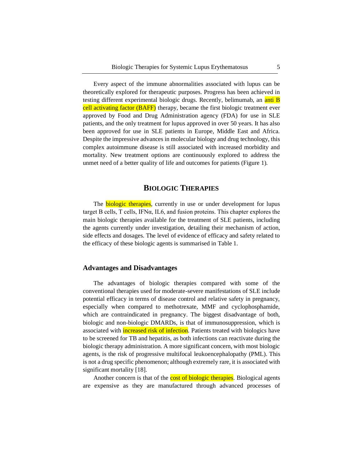Every aspect of the immune abnormalities associated with lupus can be theoretically explored for therapeutic purposes. Progress has been achieved in testing different experimental biologic drugs. Recently, belimumab, an anti B cell activating factor (BAFF) therapy, became the first biologic treatment ever approved by Food and Drug Administration agency (FDA) for use in SLE patients, and the only treatment for lupus approved in over 50 years. It has also been approved for use in SLE patients in Europe, Middle East and Africa. Despite the impressive advances in molecular biology and drug technology, this complex autoimmune disease is still associated with increased morbidity and mortality. New treatment options are continuously explored to address the unmet need of a better quality of life and outcomes for patients (Figure 1).

# **BIOLOGIC THERAPIES**

The **biologic therapies**, currently in use or under development for lupus target B cells, T cells, IFNα, IL6, and fusion proteins. This chapter explores the main biologic therapies available for the treatment of SLE patients, including the agents currently under investigation, detailing their mechanism of action, side effects and dosages. The level of evidence of efficacy and safety related to the efficacy of these biologic agents is summarised in Table 1.

#### **Advantages and Disadvantages**

The advantages of biologic therapies compared with some of the conventional therapies used for moderate-severe manifestations of SLE include potential efficacy in terms of disease control and relative safety in pregnancy, especially when compared to methotrexate, MMF and cyclophosphamide, which are contraindicated in pregnancy. The biggest disadvantage of both, biologic and non-biologic DMARDs, is that of immunosuppression, which is associated with **increased risk of infection**. Patients treated with biologics have to be screened for TB and hepatitis, as both infections can reactivate during the biologic therapy administration. A more significant concern, with most biologic agents, is the risk of progressive multifocal leukoencephalopathy (PML). This is not a drug specific phenomenon; although extremely rare, it is associated with significant mortality [18].

Another concern is that of the **cost of biologic therapies**. Biological agents are expensive as they are manufactured through advanced processes of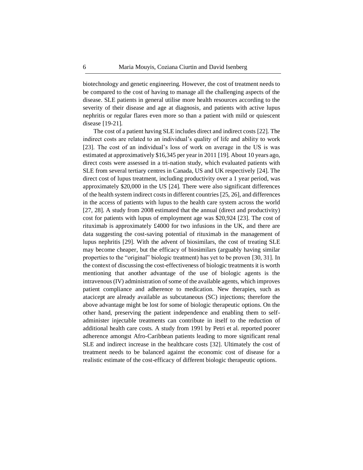biotechnology and genetic engineering. However, the cost of treatment needs to be compared to the cost of having to manage all the challenging aspects of the disease. SLE patients in general utilise more health resources according to the severity of their disease and age at diagnosis, and patients with active lupus nephritis or regular flares even more so than a patient with mild or quiescent disease [19-21].

The cost of a patient having SLE includes direct and indirect costs [22]. The indirect costs are related to an individual's quality of life and ability to work [23]. The cost of an individual's loss of work on average in the US is was estimated at approximatively \$16,345 per year in 2011 [19]. About 10 years ago, direct costs were assessed in a tri-nation study, which evaluated patients with SLE from several tertiary centres in Canada, US and UK respectively [24]. The direct cost of lupus treatment, including productivity over a 1 year period, was approximately \$20,000 in the US [24]. There were also significant differences of the health system indirect costs in different countries [25, 26], and differences in the access of patients with lupus to the health care system across the world [27, 28]. A study from 2008 estimated that the annual (direct and productivity) cost for patients with lupus of employment age was \$20,924 [23]. The cost of rituximab is approximately £4000 for two infusions in the UK, and there are data suggesting the cost-saving potential of rituximab in the management of lupus nephritis [29]. With the advent of biosimilars, the cost of treating SLE may become cheaper, but the efficacy of biosimilars (arguably having similar properties to the "original" biologic treatment) has yet to be proven [30, 31]. In the context of discussing the cost-effectiveness of biologic treatments it is worth mentioning that another advantage of the use of biologic agents is the intravenous (IV) administration of some of the available agents, which improves patient compliance and adherence to medication. New therapies, such as atacicept are already available as subcutaneous (SC) injections; therefore the above advantage might be lost for some of biologic therapeutic options. On the other hand, preserving the patient independence and enabling them to selfadminister injectable treatments can contribute in itself to the reduction of additional health care costs. A study from 1991 by Petri et al. reported poorer adherence amongst Afro-Caribbean patients leading to more significant renal SLE and indirect increase in the healthcare costs [32]. Ultimately the cost of treatment needs to be balanced against the economic cost of disease for a realistic estimate of the cost-efficacy of different biologic therapeutic options.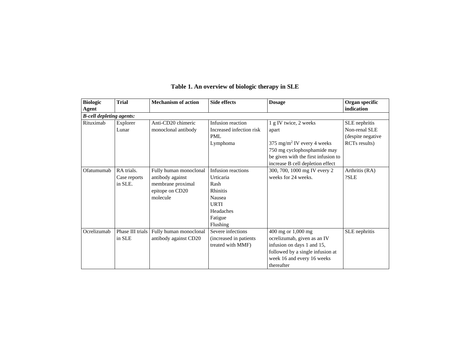| <b>Biologic</b><br>Agent        | <b>Trial</b>                          | <b>Mechanism of action</b>                                                                     | <b>Side effects</b>                                                                                              | <b>Dosage</b>                                                                                                                                                                      | Organ specific<br>indication                                                     |
|---------------------------------|---------------------------------------|------------------------------------------------------------------------------------------------|------------------------------------------------------------------------------------------------------------------|------------------------------------------------------------------------------------------------------------------------------------------------------------------------------------|----------------------------------------------------------------------------------|
| <b>B-cell depleting agents:</b> |                                       |                                                                                                |                                                                                                                  |                                                                                                                                                                                    |                                                                                  |
| Rituximab                       | Explorer<br>Lunar                     | Anti-CD20 chimeric<br>monoclonal antibody                                                      | Infusion reaction<br>Increased infection risk<br><b>PML</b><br>Lymphoma                                          | 1 g IV twice, 2 weeks<br>apart<br>375 mg/m <sup>2</sup> IV every 4 weeks<br>750 mg cyclophosphamide may<br>be given with the first infusion to<br>increase B cell depletion effect | SLE nephritis<br>Non-renal SLE<br>(despite negative<br>RCT <sub>s</sub> results) |
| Ofatumumab                      | RA trials.<br>Case reports<br>in SLE. | Fully human monoclonal<br>antibody against<br>membrane proximal<br>epitope on CD20<br>molecule | Infusion reactions<br>Urticaria<br>Rash<br><b>Rhinitis</b><br>Nausea<br>URTI<br>Headaches<br>Fatigue<br>Flushing | 300, 700, 1000 mg IV every 2<br>weeks for 24 weeks.                                                                                                                                | Arthritis (RA)<br>?SLE                                                           |
| Ocrelizumab                     | Phase III trials<br>in SLE            | Fully human monoclonal<br>antibody against CD20                                                | Severe infections<br>(increased in patients)<br>treated with MMF)                                                | 400 mg or 1,000 mg<br>ocrelizumab, given as an IV<br>infusion on days 1 and 15,<br>followed by a single infusion at<br>week 16 and every 16 weeks<br>thereafter                    | SLE nephritis                                                                    |

# **Table 1. An overview of biologic therapy in SLE**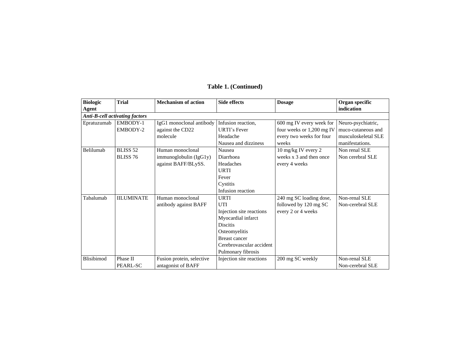| <b>Biologic</b> | <b>Trial</b>                          | <b>Mechanism of action</b> | <b>Side effects</b>      | <b>Dosage</b>             | Organ specific      |
|-----------------|---------------------------------------|----------------------------|--------------------------|---------------------------|---------------------|
| Agent           |                                       |                            |                          |                           | indication          |
|                 | <b>Anti-B-cell activating factors</b> |                            |                          |                           |                     |
| Epratuzumab     | EMBODY-1                              | IgG1 monoclonal antibody   | Infusion reaction,       | 600 mg IV every week for  | Neuro-psychiatric,  |
|                 | EMBODY-2                              | against the CD22           | <b>URTI's Fever</b>      | four weeks or 1,200 mg IV | muco-cutaneous and  |
|                 |                                       | molecule                   | Headache                 | every two weeks for four  | musculoskeletal SLE |
|                 |                                       |                            | Nausea and dizziness     | weeks                     | manifestations.     |
| Belilumab       | BLISS <sub>52</sub>                   | Human monoclonal           | Nausea                   | 10 mg/kg IV every 2       | Non renal SLE       |
|                 | <b>BLISS 76</b>                       | immunoglobulin (IgG1y)     | Diarrhoea                | weeks $x$ 3 and then once | Non cerebral SLE    |
|                 |                                       | against BAFF/BLySS.        | Headaches                | every 4 weeks             |                     |
|                 |                                       |                            | URTI                     |                           |                     |
|                 |                                       |                            | Fever                    |                           |                     |
|                 |                                       |                            | Cystitis                 |                           |                     |
|                 |                                       |                            | Infusion reaction        |                           |                     |
| Tabalumab       | <b>IILUMINATE</b>                     | Human monoclonal           | <b>URTI</b>              | 240 mg SC loading dose,   | Non-renal SLE       |
|                 |                                       | antibody against BAFF      | UTI                      | followed by 120 mg SC     | Non-cerebral SLE    |
|                 |                                       |                            | Injection site reactions | every 2 or 4 weeks        |                     |
|                 |                                       |                            | Myocardial infarct       |                           |                     |
|                 |                                       |                            | <b>Discitis</b>          |                           |                     |
|                 |                                       |                            | Osteomyelitis            |                           |                     |
|                 |                                       |                            | <b>Breast cancer</b>     |                           |                     |
|                 |                                       |                            | Cerebrovascular accident |                           |                     |
|                 |                                       |                            | Pulmonary fibrosis       |                           |                     |
| Blisibimod      | Phase II                              | Fusion protein, selective  | Injection site reactions | 200 mg SC weekly          | Non-renal SLE       |
|                 | PEARL-SC                              | antagonist of BAFF         |                          |                           | Non-cerebral SLE    |

# **Table 1. (Continued)**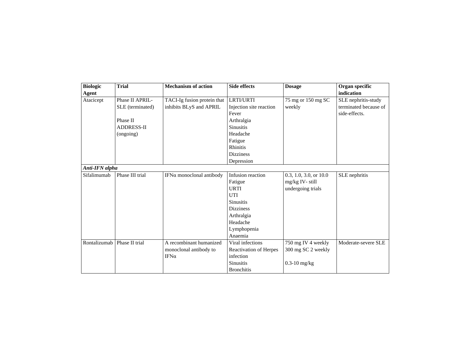| <b>Biologic</b><br>Agent | <b>Trial</b>      | <b>Mechanism of action</b>  | <b>Side effects</b>     | <b>Dosage</b>              | Organ specific<br>indication |
|--------------------------|-------------------|-----------------------------|-------------------------|----------------------------|------------------------------|
| Atacicept                | Phase II APRIL-   | TACI-Ig fusion protein that | <b>LRTI/URTI</b>        | 75 mg or 150 mg SC         | SLE nephritis-study          |
|                          | SLE (terminated)  | inhibits BLyS and APRIL     | Injection site reaction | weekly                     | terminated because of        |
|                          |                   |                             | Fever                   |                            | side-effects.                |
|                          | Phase II          |                             | Arthralgia              |                            |                              |
|                          | <b>ADDRESS-II</b> |                             | <b>Sinusitis</b>        |                            |                              |
|                          | (ongoing)         |                             | Headache                |                            |                              |
|                          |                   |                             | Fatigue                 |                            |                              |
|                          |                   |                             | <b>Rhinitis</b>         |                            |                              |
|                          |                   |                             | <b>Dizziness</b>        |                            |                              |
|                          |                   |                             | Depression              |                            |                              |
| Anti-IFN alpha           |                   |                             |                         |                            |                              |
| Sifalimumab              | Phase III trial   | IFNα monoclonal antibody    | Infusion reaction       | $0.3, 1.0, 3.0,$ or $10.0$ | SLE nephritis                |
|                          |                   |                             | Fatigue                 | $mg/kg$ IV-still           |                              |
|                          |                   |                             | <b>URTI</b>             | undergoing trials          |                              |
|                          |                   |                             | UTI                     |                            |                              |
|                          |                   |                             | <b>Sinusitis</b>        |                            |                              |
|                          |                   |                             | <b>Dizziness</b>        |                            |                              |
|                          |                   |                             | Arthralgia              |                            |                              |
|                          |                   |                             | Headache                |                            |                              |
|                          |                   |                             | Lymphopenia             |                            |                              |
|                          |                   |                             | Anaemia                 |                            |                              |
| Rontalizumab             | Phase II trial    | A recombinant humanized     | Viral infections        | 750 mg IV 4 weekly         | Moderate-severe SLE          |
|                          |                   | monoclonal antibody to      | Reactivation of Herpes  | 300 mg SC 2 weekly         |                              |
|                          |                   | $IFN\alpha$                 | infection               |                            |                              |
|                          |                   |                             | <b>Sinusitis</b>        | $0.3-10$ mg/kg             |                              |
|                          |                   |                             | <b>Bronchitis</b>       |                            |                              |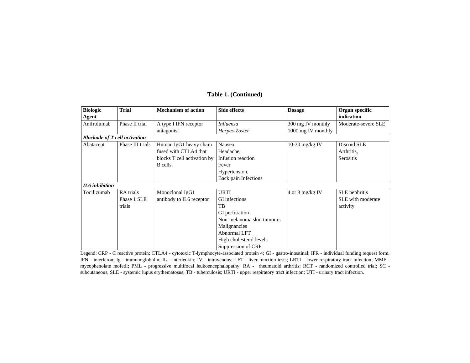| <b>Biologic</b>                      | <b>Trial</b>     | <b>Mechanism of action</b>  | <b>Side effects</b>       | <b>Dosage</b>       | Organ specific      |
|--------------------------------------|------------------|-----------------------------|---------------------------|---------------------|---------------------|
| Agent                                |                  |                             |                           |                     | indication          |
| Anifrolumab                          | Phase II trial   | A type I IFN receptor       | Influenza                 | 300 mg IV monthly   | Moderate-severe SLE |
|                                      |                  | antagonist                  | Herpes-Zoster             | 1000 mg IV monthly  |                     |
| <b>Blockade of T cell activation</b> |                  |                             |                           |                     |                     |
| Abatacept                            | Phase III trials | Human IgG1 heavy chain      | Nausea                    | 10-30 mg/kg IV      | Discoid SLE         |
|                                      |                  | fused with CTLA4 that       | Headache,                 |                     | Arthritis,          |
|                                      |                  | blocks T cell activation by | Infusion reaction         |                     | Serositis           |
|                                      |                  | B cells.                    | Fever                     |                     |                     |
|                                      |                  |                             | Hypertension,             |                     |                     |
|                                      |                  |                             | Back pain Infections      |                     |                     |
| <b>IL6</b> inhibition                |                  |                             |                           |                     |                     |
| Tocilizumab                          | RA trials        | Monoclonal IgG1             | <b>URTI</b>               | $4$ or $8$ mg/kg IV | SLE nephritis       |
|                                      | Phase 1 SLE      | antibody to IL6 receptor    | GI infections             |                     | SLE with moderate   |
|                                      | trials           |                             | TB                        |                     | activity            |
|                                      |                  |                             | GI perforation            |                     |                     |
|                                      |                  |                             | Non-melanoma skin tumours |                     |                     |
|                                      |                  |                             | Malignancies              |                     |                     |
|                                      |                  |                             | Abnormal LFT              |                     |                     |
|                                      |                  |                             | High cholesterol levels   |                     |                     |
|                                      |                  |                             | Suppression of CRP        |                     |                     |

# **Table 1. (Continued)**

Legend: CRP - C reactive protein; CTLA4 - cytotoxic T-lymphocyte-associated protein 4; GI - gastro-intestinal; IFR - individual funding request form, IFN - interferon; Ig - immunoglobulin; IL - interleukin; IV - intravenous; LFT - liver function tests; LRTI - lower respiratory tract infection; MMF mycophenolate mofetil; PML - progressive multifocal leukoencephalopathy; RA - rheumatoid arthritis; RCT - randomized controlled trial; SC subcutaneous, SLE - systemic lupus erythematosus; TB - tuberculosis; URTI - upper respiratory tract infection; UTI - urinary tract infection.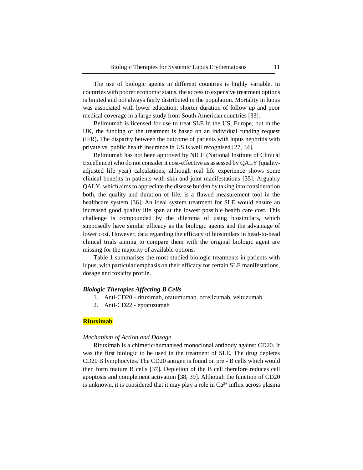The use of biologic agents in different countries is highly variable. In countries with poorer economic status, the access to expensive treatment options is limited and not always fairly distributed in the population. Mortality in lupus was associated with lower education, shorter duration of follow up and poor medical coverage in a large study from South American countries [33].

Belimumab is licensed for use to treat SLE in the US, Europe, but in the UK, the funding of the treatment is based on an individual funding request (IFR). The disparity between the outcome of patients with lupus nephritis with private vs. public health insurance in US is well recognised [27, 34].

Belimumab has not been approved by NICE (National Institute of Clinical Excellence) who do not consider it cost-effective as assessed by QALY (qualityadjusted life year) calculations; although real life experience shows some clinical benefits in patients with skin and joint manifestations [35]. Arguably QALY, which aims to appreciate the disease burden by taking into consideration both, the quality and duration of life, is a flawed measurement tool in the healthcare system [36]. An ideal system treatment for SLE would ensure an increased good quality life span at the lowest possible health care cost. This challenge is compounded by the dilemma of using biosimilars, which supposedly have similar efficacy as the biologic agents and the advantage of lower cost. However, data regarding the efficacy of biosimilars in head-to-head clinical trials aiming to compare them with the original biologic agent are missing for the majority of available options.

Table 1 summarises the most studied biologic treatments in patients with lupus, with particular emphasis on their efficacy for certain SLE manifestations, dosage and toxicity profile.

#### *Biologic Therapies Affecting B Cells*

- 1. Anti-CD20 rituximab, ofatumumab, ocrelizumab, veltuzumab
- 2. Anti-CD22 epratuzumab

#### **Rituximab**

#### *Mechanism of Action and Dosage*

Rituximab is a chimeric/humanised monoclonal antibody against CD20. It was the first biologic to be used in the treatment of SLE. The drug depletes CD20 B lymphocytes. The CD20 antigen is found on pre - B cells which would then form mature B cells [37]. Depletion of the B cell therefore reduces cell apoptosis and complement activation [38, 39]. Although the function of CD20 is unknown, it is considered that it may play a role in  $Ca^{2+}$  influx across plasma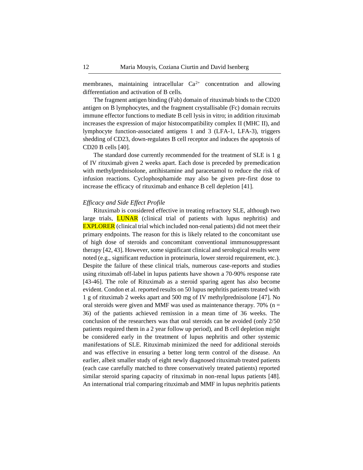membranes, maintaining intracellular  $Ca^{2+}$  concentration and allowing differentiation and activation of B cells.

The fragment antigen binding (Fab) domain of rituximab binds to the CD20 antigen on B lymphocytes, and the fragment crystallisable (Fc) domain recruits immune effector functions to mediate B cell lysis in vitro; in addition rituximab increases the expression of major histocompatibility complex II (MHC II), and lymphocyte function-associated antigens 1 and 3 (LFA-1, LFA-3), triggers shedding of CD23, down-regulates B cell receptor and induces the apoptosis of CD20 B cells [40].

The standard dose currently recommended for the treatment of SLE is 1 g of IV rituximab given 2 weeks apart. Each dose is preceded by premedication with methylprednisolone, antihistamine and paracetamol to reduce the risk of infusion reactions. Cyclophosphamide may also be given pre-first dose to increase the efficacy of rituximab and enhance B cell depletion [41].

#### *Efficacy and Side Effect Profile*

Rituximab is considered effective in treating refractory SLE, although two large trials, **LUNAR** (clinical trial of patients with lupus nephritis) and EXPLORER (clinical trial which included non-renal patients) did not meet their primary endpoints. The reason for this is likely related to the concomitant use of high dose of steroids and concomitant conventional immunosuppressant therapy [42, 43]. However, some significant clinical and serological results were noted (e.g., significant reduction in proteinuria, lower steroid requirement, etc.). Despite the failure of these clinical trials, numerous case-reports and studies using rituximab off-label in lupus patients have shown a 70-90% response rate [43-46]. The role of Rituximab as a steroid sparing agent has also become evident. Condon et al. reported results on 50 lupus nephritis patients treated with 1 g of rituximab 2 weeks apart and 500 mg of IV methylprednisolone [47]. No oral steroids were given and MMF was used as maintenance therapy. 70% ( $n =$ 36) of the patients achieved remission in a mean time of 36 weeks. The conclusion of the researchers was that oral steroids can be avoided (only 2/50 patients required them in a 2 year follow up period), and B cell depletion might be considered early in the treatment of lupus nephritis and other systemic manifestations of SLE. Rituximab minimized the need for additional steroids and was effective in ensuring a better long term control of the disease. An earlier, albeit smaller study of eight newly diagnosed rituximab treated patients (each case carefully matched to three conservatively treated patients) reported similar steroid sparing capacity of rituximab in non-renal lupus patients [48]. An international trial comparing rituximab and MMF in lupus nephritis patients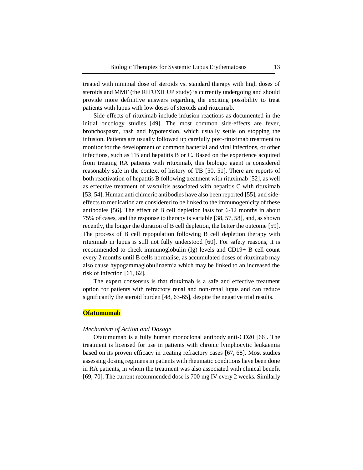treated with minimal dose of steroids vs. standard therapy with high doses of steroids and MMF (the RITUXILUP study) is currently undergoing and should provide more definitive answers regarding the exciting possibility to treat patients with lupus with low doses of steroids and rituximab.

Side-effects of rituximab include infusion reactions as documented in the initial oncology studies [49]. The most common side-effects are fever, bronchospasm, rash and hypotension, which usually settle on stopping the infusion. Patients are usually followed up carefully post-rituximab treatment to monitor for the development of common bacterial and viral infections, or other infections, such as TB and hepatitis B or C. Based on the experience acquired from treating RA patients with rituximab, this biologic agent is considered reasonably safe in the context of history of TB [50, 51]. There are reports of both reactivation of hepatitis B following treatment with rituximab [52], as well as effective treatment of vasculitis associated with hepatitis C with rituximab [53, 54]. Human anti chimeric antibodies have also been reported [55], and sideeffects to medication are considered to be linked to the immunogenicity of these antibodies [56]. The effect of B cell depletion lasts for 6-12 months in about 75% of cases, and the response to therapy is variable [38, 57, 58], and, as shown recently, the longer the duration of B cell depletion, the better the outcome [59]. The process of B cell repopulation following B cell depletion therapy with rituximab in lupus is still not fully understood [60]. For safety reasons, it is recommended to check immunoglobulin (Ig) levels and CD19+ B cell count every 2 months until B cells normalise, as accumulated doses of rituximab may also cause hypogammaglobulinaemia which may be linked to an increased the risk of infection [61, 62].

The expert consensus is that rituximab is a safe and effective treatment option for patients with refractory renal and non-renal lupus and can reduce significantly the steroid burden [48, 63-65], despite the negative trial results.

# **Ofatumumab**

#### *Mechanism of Action and Dosage*

Ofatumumab is a fully human monoclonal antibody anti-CD20 [66]. The treatment is licensed for use in patients with chronic lymphocytic leukaemia based on its proven efficacy in treating refractory cases [67, 68]. Most studies assessing dosing regimens in patients with rheumatic conditions have been done in RA patients, in whom the treatment was also associated with clinical benefit [69, 70]. The current recommended dose is 700 mg IV every 2 weeks. Similarly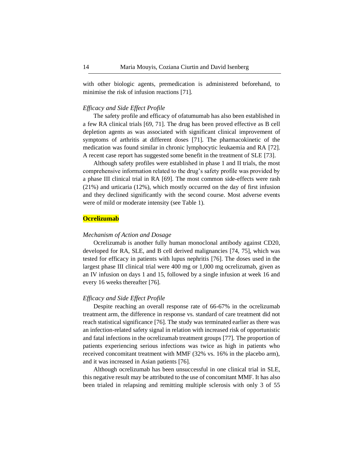with other biologic agents, premedication is administered beforehand, to minimise the risk of infusion reactions [71].

#### *Efficacy and Side Effect Profile*

The safety profile and efficacy of ofatumumab has also been established in a few RA clinical trials [69, 71]. The drug has been proved effective as B cell depletion agents as was associated with significant clinical improvement of symptoms of arthritis at different doses [71]. The pharmacokinetic of the medication was found similar in chronic lymphocytic leukaemia and RA [72]. A recent case report has suggested some benefit in the treatment of SLE [73].

Although safety profiles were established in phase 1 and II trials, the most comprehensive information related to the drug's safety profile was provided by a phase III clinical trial in RA [69]. The most common side-effects were rash (21%) and urticaria (12%), which mostly occurred on the day of first infusion and they declined significantly with the second course. Most adverse events were of mild or moderate intensity (see Table 1).

# **Ocrelizumab**

#### *Mechanism of Action and Dosage*

Ocrelizumab is another fully human monoclonal antibody against CD20, developed for RA, SLE, and B cell derived malignancies [74, 75], which was tested for efficacy in patients with lupus nephritis [76]. The doses used in the largest phase III clinical trial were 400 mg or 1,000 mg ocrelizumab, given as an IV infusion on days 1 and 15, followed by a single infusion at week 16 and every 16 weeks thereafter [76].

#### *Efficacy and Side Effect Profile*

Despite reaching an overall response rate of 66-67% in the ocrelizumab treatment arm, the difference in response vs. standard of care treatment did not reach statistical significance [76]. The study was terminated earlier as there was an infection-related safety signal in relation with increased risk of opportunistic and fatal infections in the ocrelizumab treatment groups [77]. The proportion of patients experiencing serious infections was twice as high in patients who received concomitant treatment with MMF (32% vs. 16% in the placebo arm), and it was increased in Asian patients [76].

Although ocrelizumab has been unsuccessful in one clinical trial in SLE, this negative result may be attributed to the use of concomitant MMF. It has also been trialed in relapsing and remitting multiple sclerosis with only 3 of 55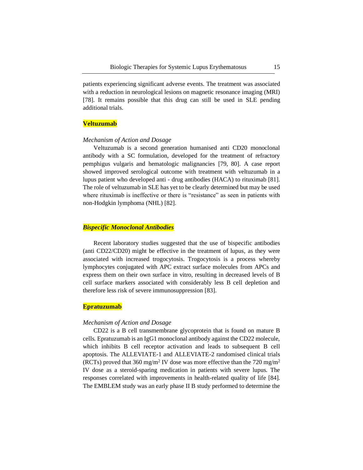patients experiencing significant adverse events. The treatment was associated with a reduction in neurological lesions on magnetic resonance imaging (MRI) [78]. It remains possible that this drug can still be used in SLE pending additional trials.

#### **Veltuzumab**

#### *Mechanism of Action and Dosage*

Veltuzumab is a second generation humanised anti CD20 monoclonal antibody with a SC formulation, developed for the treatment of refractory pemphigus vulgaris and hematologic malignancies [79, 80]. A case report showed improved serological outcome with treatment with veltuzumab in a lupus patient who developed anti - drug antibodies (HACA) to rituximab [81]. The role of veltuzumab in SLE has yet to be clearly determined but may be used where rituximab is ineffective or there is "resistance" as seen in patients with non-Hodgkin lymphoma (NHL) [82].

#### *Bispecific Monoclonal Antibodies*

Recent laboratory studies suggested that the use of bispecific antibodies (anti CD22/CD20) might be effective in the treatment of lupus, as they were associated with increased trogocytosis. Trogocytosis is a process whereby lymphocytes conjugated with APC extract surface molecules from APCs and express them on their own surface in vitro, resulting in decreased levels of B cell surface markers associated with considerably less B cell depletion and therefore less risk of severe immunosuppression [83].

# **Epratuzumab**

#### *Mechanism of Action and Dosage*

CD22 is a B cell transmembrane glycoprotein that is found on mature B cells. Epratuzumab is an IgG1 monoclonal antibody against the CD22 molecule, which inhibits B cell receptor activation and leads to subsequent B cell apoptosis. The ALLEVIATE-1 and ALLEVIATE-2 randomised clinical trials (RCTs) proved that 360 mg/m<sup>2</sup> IV dose was more effective than the 720 mg/m<sup>2</sup> IV dose as a steroid-sparing medication in patients with severe lupus. The responses correlated with improvements in health-related quality of life [84]. The EMBLEM study was an early phase II B study performed to determine the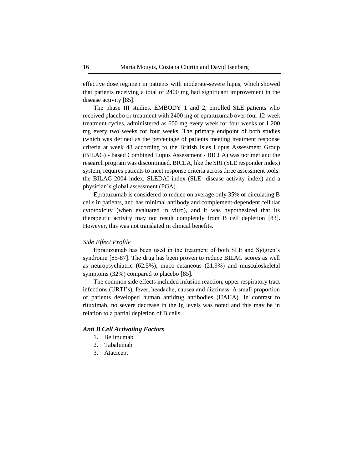effective dose regimen in patients with moderate-severe lupus, which showed that patients receiving a total of 2400 mg had significant improvement in the disease activity [85].

The phase III studies, EMBODY 1 and 2, enrolled SLE patients who received placebo or treatment with 2400 mg of epratuzumab over four 12-week treatment cycles, administered as 600 mg every week for four weeks or 1,200 mg every two weeks for four weeks. The primary endpoint of both studies (which was defined as the percentage of patients meeting treatment response criteria at week 48 according to the British Isles Lupus Assessment Group (BILAG) - based Combined Lupus Assessment - BICLA) was not met and the research program was discontinued. BICLA, like the SRI (SLE responder index) system, requires patients to meet response criteria across three assessment tools: the BILAG-2004 index, SLEDAI index (SLE- disease activity index) and a physician's global assessment (PGA).

Epratuzumab is considered to reduce on average only 35% of circulating B cells in patients, and has minimal antibody and complement-dependent cellular cytotoxicity (when evaluated in vitro), and it was hypothesized that its therapeutic activity may not result completely from B cell depletion [83]. However, this was not translated in clinical benefits.

### *Side Effect Profile*

Epratuzumab has been used in the treatment of both SLE and Sjögren's syndrome [85-87]. The drug has been proven to reduce BILAG scores as well as neuropsychiatric (62.5%), muco-cutaneous (21.9%) and musculoskeletal symptoms (32%) compared to placebo [85].

The common side effects included infusion reaction, upper respiratory tract infections (URTI's), fever, headache, nausea and dizziness. A small proportion of patients developed human antidrug antibodies (HAHA). In contrast to rituximab, no severe decrease in the Ig levels was noted and this may be in relation to a partial depletion of B cells.

#### *Anti B Cell Activating Factors*

- 1. Belimumab
- 2. Tabalumab
- 3. Atacicept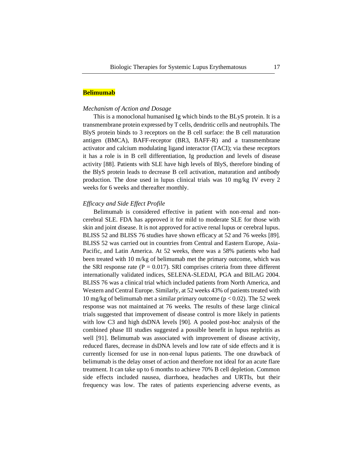#### **Belimumab**

#### *Mechanism of Action and Dosage*

This is a monoclonal humanised Ig which binds to the BLyS protein. It is a transmembrane protein expressed by T cells, dendritic cells and neutrophils. The BlyS protein binds to 3 receptors on the B cell surface: the B cell maturation antigen (BMCA), BAFF-receptor (BR3, BAFF-R) and a transmembrane activator and calcium modulating ligand interactor (TACI); via these receptors it has a role is in B cell differentiation, Ig production and levels of disease activity [88]. Patients with SLE have high levels of BlyS, therefore binding of the BlyS protein leads to decrease B cell activation, maturation and antibody production. The dose used in lupus clinical trials was 10 mg/kg IV every 2 weeks for 6 weeks and thereafter monthly.

#### *Efficacy and Side Effect Profile*

Belimumab is considered effective in patient with non-renal and noncerebral SLE. FDA has approved it for mild to moderate SLE for those with skin and joint disease. It is not approved for active renal lupus or cerebral lupus. BLISS 52 and BLISS 76 studies have shown efficacy at 52 and 76 weeks [89]. BLISS 52 was carried out in countries from Central and Eastern Europe, Asia-Pacific, and Latin America. At 52 weeks, there was a 58% patients who had been treated with 10 m/kg of belimumab met the primary outcome, which was the SRI response rate ( $P = 0.017$ ). SRI comprises criteria from three different internationally validated indices, SELENA-SLEDAI, PGA and BILAG 2004. BLISS 76 was a clinical trial which included patients from North America, and Western and Central Europe. Similarly, at 52 weeks 43% of patients treated with 10 mg/kg of belimumab met a similar primary outcome ( $p < 0.02$ ). The 52 week response was not maintained at 76 weeks. The results of these large clinical trials suggested that improvement of disease control is more likely in patients with low C3 and high dsDNA levels [90]. A pooled post-hoc analysis of the combined phase III studies suggested a possible benefit in lupus nephritis as well [91]. Belimumab was associated with improvement of disease activity, reduced flares, decrease in dsDNA levels and low rate of side effects and it is currently licensed for use in non-renal lupus patients. The one drawback of belimumab is the delay onset of action and therefore not ideal for an acute flare treatment. It can take up to 6 months to achieve 70% B cell depletion. Common side effects included nausea, diarrhoea, headaches and URTIs, but their frequency was low. The rates of patients experiencing adverse events, as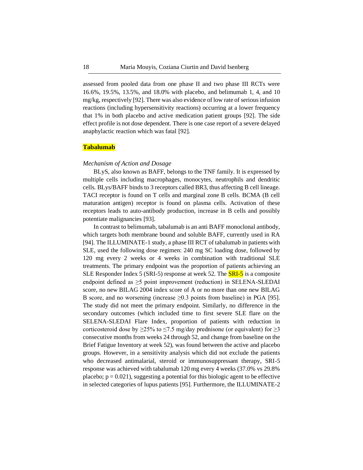assessed from pooled data from one phase II and two phase III RCTs were 16.6%, 19.5%, 13.5%, and 18.0% with placebo, and belimumab 1, 4, and 10 mg/kg, respectively [92]. There was also evidence of low rate of serious infusion reactions (including hypersensitivity reactions) occurring at a lower frequency that 1% in both placebo and active medication patient groups [92]. The side effect profile is not dose dependent. There is one case report of a severe delayed anaphylactic reaction which was fatal [92].

#### **Tabalumab**

#### *Mechanism of Action and Dosage*

BLyS, also known as BAFF, belongs to the TNF family. It is expressed by multiple cells including macrophages, monocytes, neutrophils and dendritic cells. BLys/BAFF binds to 3 receptors called BR3, thus affecting B cell lineage. TACI receptor is found on T cells and marginal zone B cells. BCMA (B cell maturation antigen) receptor is found on plasma cells. Activation of these receptors leads to auto-antibody production, increase in B cells and possibly potentiate malignancies [93].

In contrast to belimumab, tabalumab is an anti BAFF monoclonal antibody, which targets both membrane bound and soluble BAFF, currently used in RA [94]. The ILLUMINATE-1 study, a phase III RCT of tabalumab in patients with SLE, used the following dose regimen: 240 mg SC loading dose, followed by 120 mg every 2 weeks or 4 weeks in combination with traditional SLE treatments. The primary endpoint was the proportion of patients achieving an SLE Responder Index 5 (SRI-5) response at week 52. The **SRI-5** is a composite endpoint defined as  $\geq$ 5 point improvement (reduction) in SELENA-SLEDAI score, no new BILAG 2004 index score of A or no more than one new BILAG B score, and no worsening (increase ≥0.3 points from baseline) in PGA [95]. The study did not meet the primary endpoint. Similarly, no difference in the secondary outcomes (which included time to first severe SLE flare on the SELENA-SLEDAI Flare Index, proportion of patients with reduction in corticosteroid dose by  $\geq$ 25% to  $\leq$ 7.5 mg/day prednisone (or equivalent) for  $\geq$ 3 consecutive months from weeks 24 through 52, and change from baseline on the Brief Fatigue Inventory at week 52), was found between the active and placebo groups. However, in a sensitivity analysis which did not exclude the patients who decreased antimalarial, steroid or immunosuppressant therapy, SRI-5 response was achieved with tabalumab 120 mg every 4 weeks (37.0% vs 29.8% placebo;  $p = 0.021$ ), suggesting a potential for this biologic agent to be effective in selected categories of lupus patients [95]. Furthermore, the ILLUMINATE-2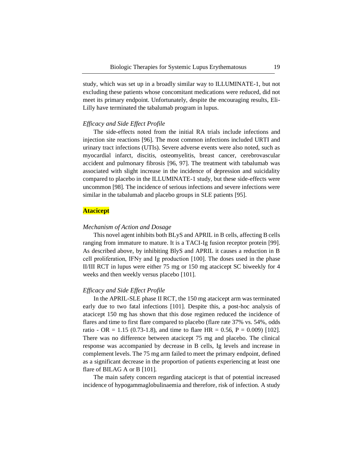study, which was set up in a broadly similar way to ILLUMINATE-1, but not excluding these patients whose concomitant medications were reduced, did not meet its primary endpoint. Unfortunately, despite the encouraging results, Eli-Lilly have terminated the tabalumab program in lupus.

### *Efficacy and Side Effect Profile*

The side-effects noted from the initial RA trials include infections and injection site reactions [96]. The most common infections included URTI and urinary tract infections (UTIs). Severe adverse events were also noted, such as myocardial infarct, discitis, osteomyelitis, breast cancer, cerebrovascular accident and pulmonary fibrosis [96, 97]. The treatment with tabalumab was associated with slight increase in the incidence of depression and suicidality compared to placebo in the ILLUMINATE-1 study, but these side-effects were uncommon [98]. The incidence of serious infections and severe infections were similar in the tabalumab and placebo groups in SLE patients [95].

#### **Atacicept**

#### *Mechanism of Action and Dosage*

This novel agent inhibits both BLyS and APRIL in B cells, affecting B cells ranging from immature to mature. It is a TACI-Ig fusion receptor protein [99]. As described above, by inhibiting BlyS and APRIL it causes a reduction in B cell proliferation, IFNγ and Ig production [100]. The doses used in the phase II/III RCT in lupus were either 75 mg or 150 mg atacicept SC biweekly for 4 weeks and then weekly versus placebo [101].

#### *Efficacy and Side Effect Profile*

In the APRIL-SLE phase II RCT, the 150 mg atacicept arm was terminated early due to two fatal infections [101]. Despite this, a post-hoc analysis of atacicept 150 mg has shown that this dose regimen reduced the incidence of flares and time to first flare compared to placebo (flare rate 37% vs. 54%, odds ratio - OR = 1.15 (0.73-1.8), and time to flare HR = 0.56, P = 0.009) [102]. There was no difference between atacicept 75 mg and placebo. The clinical response was accompanied by decrease in B cells, Ig levels and increase in complement levels. The 75 mg arm failed to meet the primary endpoint, defined as a significant decrease in the proportion of patients experiencing at least one flare of BILAG A or B [101].

The main safety concern regarding atacicept is that of potential increased incidence of hypogammaglobulinaemia and therefore, risk of infection. A study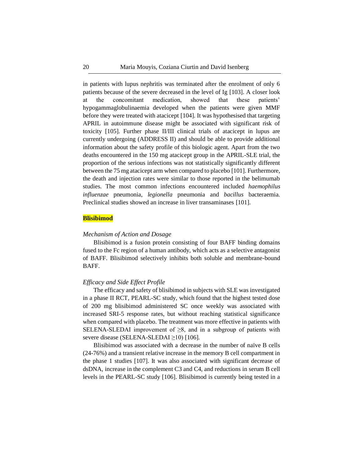in patients with lupus nephritis was terminated after the enrolment of only 6 patients because of the severe decreased in the level of Ig [103]. A closer look at the concomitant medication, showed that these patients' hypogammaglobulinaemia developed when the patients were given MMF before they were treated with atacicept [104]. It was hypothesised that targeting APRIL in autoimmune disease might be associated with significant risk of toxicity [105]. Further phase II/III clinical trials of atacicept in lupus are currently undergoing (ADDRESS II) and should be able to provide additional information about the safety profile of this biologic agent. Apart from the two deaths encountered in the 150 mg atacicept group in the APRIL-SLE trial, the proportion of the serious infections was not statistically significantly different between the 75 mg atacicept arm when compared to placebo [101]. Furthermore, the death and injection rates were similar to those reported in the belimumab studies. The most common infections encountered included *haemophilus influenzae* pneumonia, *legionella* pneumonia and *bacillus* bacteraemia. Preclinical studies showed an increase in liver transaminases [101].

#### **Blisibimod**

#### *Mechanism of Action and Dosage*

Blisibimod is a fusion protein consisting of four BAFF binding domains fused to the Fc region of a human antibody, which acts as a selective antagonist of BAFF. Blisibimod selectively inhibits both soluble and membrane-bound BAFF.

#### *Efficacy and Side Effect Profile*

The efficacy and safety of blisibimod in subjects with SLE was investigated in a phase II RCT, PEARL-SC study, which found that the highest tested dose of 200 mg blisibimod administered SC once weekly was associated with increased SRI-5 response rates, but without reaching statistical significance when compared with placebo. The treatment was more effective in patients with SELENA-SLEDAI improvement of  $\geq 8$ , and in a subgroup of patients with severe disease (SELENA-SLEDAI ≥10) [106].

Blisibimod was associated with a decrease in the number of naïve B cells (24-76%) and a transient relative increase in the memory B cell compartment in the phase 1 studies [107]. It was also associated with significant decrease of dsDNA, increase in the complement C3 and C4, and reductions in serum B cell levels in the PEARL-SC study [106]. Blisibimod is currently being tested in a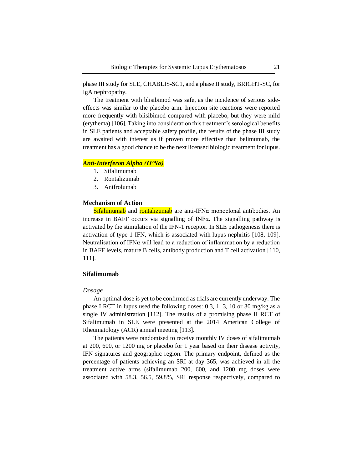phase III study for SLE, CHABLIS-SC1, and a phase II study, BRIGHT-SC, for IgA nephropathy.

The treatment with blisibimod was safe, as the incidence of serious sideeffects was similar to the placebo arm. Injection site reactions were reported more frequently with blisibimod compared with placebo, but they were mild (erythema) [106]. Taking into consideration this treatment's serological benefits in SLE patients and acceptable safety profile, the results of the phase III study are awaited with interest as if proven more effective than belimumab, the treatment has a good chance to be the next licensed biologic treatment for lupus.

# *Anti-Interferon Alpha (IFNα)*

- 1. Sifalimumab
- 2. Rontalizumab
- 3. Anifrolumab

#### **Mechanism of Action**

Sifalimumab and rontalizumab are anti-IFNα monoclonal antibodies. An increase in BAFF occurs via signalling of INFα. The signalling pathway is activated by the stimulation of the IFN-1 receptor. In SLE pathogenesis there is activation of type 1 IFN, which is associated with lupus nephritis [108, 109]. Neutralisation of IFN $\alpha$  will lead to a reduction of inflammation by a reduction in BAFF levels, mature B cells, antibody production and T cell activation [110, 111].

#### **Sifalimumab**

#### *Dosage*

An optimal dose is yet to be confirmed as trials are currently underway. The phase I RCT in lupus used the following doses: 0.3, 1, 3, 10 or 30 mg/kg as a single IV administration [112]. The results of a promising phase II RCT of Sifalimumab in SLE were presented at the 2014 American College of Rheumatology (ACR) annual meeting [113].

The patients were randomised to receive monthly IV doses of sifalimumab at 200, 600, or 1200 mg or placebo for 1 year based on their disease activity, IFN signatures and geographic region. The primary endpoint, defined as the percentage of patients achieving an SRI at day 365, was achieved in all the treatment active arms (sifalimumab 200, 600, and 1200 mg doses were associated with 58.3, 56.5, 59.8%, SRI response respectively, compared to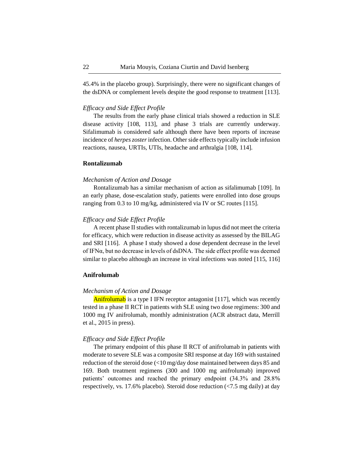45.4% in the placebo group). Surprisingly, there were no significant changes of the dsDNA or complement levels despite the good response to treatment [113].

#### *Efficacy and Side Effect Profile*

The results from the early phase clinical trials showed a reduction in SLE disease activity [108, 113], and phase 3 trials are currently underway. Sifalimumab is considered safe although there have been reports of increase incidence of *herpes zoster*infection. Other side effects typically include infusion reactions, nausea, URTIs, UTIs, headache and arthralgia [108, 114].

#### **Rontalizumab**

#### *Mechanism of Action and Dosage*

Rontalizumab has a similar mechanism of action as sifalimumab [109]. In an early phase, dose-escalation study, patients were enrolled into dose groups ranging from 0.3 to 10 mg/kg, administered via IV or SC routes [115].

#### *Efficacy and Side Effect Profile*

A recent phase II studies with rontalizumab in lupus did not meet the criteria for efficacy, which were reduction in disease activity as assessed by the BILAG and SRI [116]. A phase I study showed a dose dependent decrease in the level of IFNα, but no decrease in levels of dsDNA. The side effect profile was deemed similar to placebo although an increase in viral infections was noted [115, 116]

#### **Anifrolumab**

#### *Mechanism of Action and Dosage*

Anifrolumab is a type I IFN receptor antagonist [117], which was recently tested in a phase II RCT in patients with SLE using two dose regimens: 300 and 1000 mg IV anifrolumab, monthly administration (ACR abstract data, Merrill et al., 2015 in press).

#### *Efficacy and Side Effect Profile*

The primary endpoint of this phase II RCT of anifrolumab in patients with moderate to severe SLE was a composite SRI response at day 169 with sustained reduction of the steroid dose (<10 mg/day dose maintained between days 85 and 169. Both treatment regimens (300 and 1000 mg anifrolumab) improved patients' outcomes and reached the primary endpoint (34.3% and 28.8% respectively, vs. 17.6% placebo). Steroid dose reduction (<7.5 mg daily) at day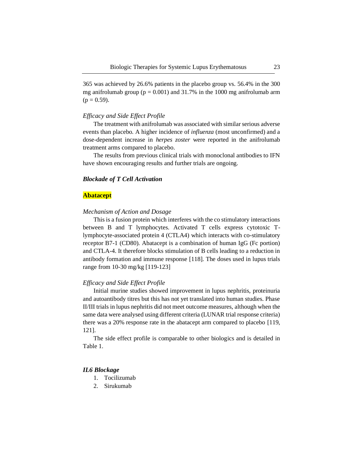365 was achieved by 26.6% patients in the placebo group vs. 56.4% in the 300 mg anifrolumab group ( $p = 0.001$ ) and 31.7% in the 1000 mg anifrolumab arm  $(p = 0.59)$ .

#### *Efficacy and Side Effect Profile*

The treatment with anifrolumab was associated with similar serious adverse events than placebo. A higher incidence of *influenza* (most unconfirmed) and a dose-dependent increase in *herpes zoster* were reported in the anifrolumab treatment arms compared to placebo.

The results from previous clinical trials with monoclonal antibodies to IFN have shown encouraging results and further trials are ongoing.

#### *Blockade of T Cell Activation*

#### **Abatacept**

#### *Mechanism of Action and Dosage*

This is a fusion protein which interferes with the co stimulatory interactions between B and T lymphocytes. Activated T cells express cytotoxic Tlymphocyte-associated protein 4 (CTLA4) which interacts with co-stimulatory receptor B7-1 (CD80). Abatacept is a combination of human IgG (Fc portion) and CTLA-4. It therefore blocks stimulation of B cells leading to a reduction in antibody formation and immune response [118]. The doses used in lupus trials range from 10-30 mg/kg [119-123]

#### *Efficacy and Side Effect Profile*

Initial murine studies showed improvement in lupus nephritis, proteinuria and autoantibody titres but this has not yet translated into human studies. Phase II/III trials in lupus nephritis did not meet outcome measures, although when the same data were analysed using different criteria (LUNAR trial response criteria) there was a 20% response rate in the abatacept arm compared to placebo [119, 121].

The side effect profile is comparable to other biologics and is detailed in Table 1.

#### *IL6 Blockage*

- 1. Tocilizumab
- 2. Sirukumab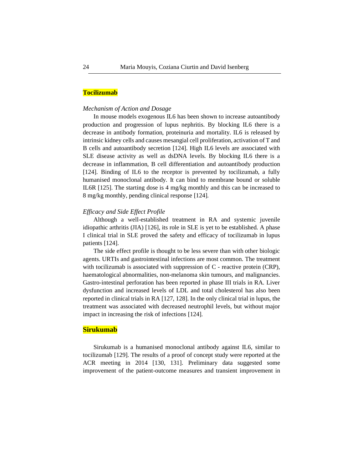#### **Tocilizumab**

#### *Mechanism of Action and Dosage*

In mouse models exogenous IL6 has been shown to increase autoantibody production and progression of lupus nephritis. By blocking IL6 there is a decrease in antibody formation, proteinuria and mortality. IL6 is released by intrinsic kidney cells and causes mesangial cell proliferation, activation of T and B cells and autoantibody secretion [124]. High IL6 levels are associated with SLE disease activity as well as dsDNA levels. By blocking IL6 there is a decrease in inflammation, B cell differentiation and autoantibody production [124]. Binding of IL6 to the receptor is prevented by tocilizumab, a fully humanised monoclonal antibody. It can bind to membrane bound or soluble IL6R [125]. The starting dose is 4 mg/kg monthly and this can be increased to 8 mg/kg monthly, pending clinical response [124].

#### *Efficacy and Side Effect Profile*

Although a well-established treatment in RA and systemic juvenile idiopathic arthritis (JIA) [126], its role in SLE is yet to be established. A phase I clinical trial in SLE proved the safety and efficacy of tocilizumab in lupus patients [124].

The side effect profile is thought to be less severe than with other biologic agents. URTIs and gastrointestinal infections are most common. The treatment with tocilizumab is associated with suppression of C - reactive protein (CRP), haematological abnormalities, non-melanoma skin tumours, and malignancies. Gastro-intestinal perforation has been reported in phase III trials in RA. Liver dysfunction and increased levels of LDL and total cholesterol has also been reported in clinical trials in RA [127, 128]. In the only clinical trial in lupus, the treatment was associated with decreased neutrophil levels, but without major impact in increasing the risk of infections [124].

# **Sirukumab**

Sirukumab is a humanised monoclonal antibody against IL6, similar to tocilizumab [129]. The results of a proof of concept study were reported at the ACR meeting in 2014 [130, 131]. Preliminary data suggested some improvement of the patient-outcome measures and transient improvement in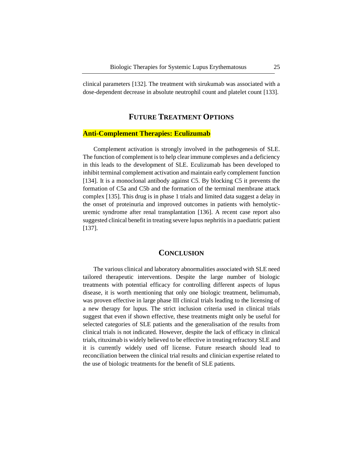clinical parameters [132]. The treatment with sirukumab was associated with a dose-dependent decrease in absolute neutrophil count and platelet count [133].

# **FUTURE TREATMENT OPTIONS**

### **Anti-Complement Therapies: Eculizumab**

Complement activation is strongly involved in the pathogenesis of SLE. The function of complement is to help clear immune complexes and a deficiency in this leads to the development of SLE. Eculizumab has been developed to inhibit terminal complement activation and maintain early complement function [134]. It is a monoclonal antibody against C5. By blocking C5 it prevents the formation of C5a and C5b and the formation of the terminal membrane attack complex [135]. This drug is in phase 1 trials and limited data suggest a delay in the onset of proteinuria and improved outcomes in patients with hemolyticuremic syndrome after renal transplantation [136]. A recent case report also suggested clinical benefit in treating severe lupus nephritis in a paediatric patient [137].

# **CONCLUSION**

The various clinical and laboratory abnormalities associated with SLE need tailored therapeutic interventions. Despite the large number of biologic treatments with potential efficacy for controlling different aspects of lupus disease, it is worth mentioning that only one biologic treatment, belimumab, was proven effective in large phase III clinical trials leading to the licensing of a new therapy for lupus. The strict inclusion criteria used in clinical trials suggest that even if shown effective, these treatments might only be useful for selected categories of SLE patients and the generalisation of the results from clinical trials is not indicated. However, despite the lack of efficacy in clinical trials, rituximab is widely believed to be effective in treating refractory SLE and it is currently widely used off license. Future research should lead to reconciliation between the clinical trial results and clinician expertise related to the use of biologic treatments for the benefit of SLE patients.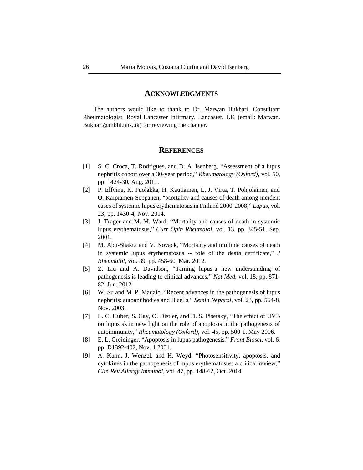#### **ACKNOWLEDGMENTS**

The authors would like to thank to Dr. Marwan Bukhari, Consultant Rheumatologist, Royal Lancaster Infirmary, Lancaster, UK (email: Marwan. Bukhari@mbht.nhs.uk) for reviewing the chapter.

# **REFERENCES**

- [1] S. C. Croca, T. Rodrigues, and D. A. Isenberg, "Assessment of a lupus nephritis cohort over a 30-year period," *Rheumatology (Oxford)*, vol. 50, pp. 1424-30, Aug. 2011.
- [2] P. Elfving, K. Puolakka, H. Kautiainen, L. J. Virta, T. Pohjolainen, and O. Kaipiainen-Seppanen, "Mortality and causes of death among incident cases of systemic lupus erythematosus in Finland 2000-2008," *Lupus*, vol. 23, pp. 1430-4, Nov. 2014.
- [3] J. Trager and M. M. Ward, "Mortality and causes of death in systemic lupus erythematosus," *Curr Opin Rheumatol,* vol. 13, pp. 345-51, Sep. 2001.
- [4] M. Abu-Shakra and V. Novack, "Mortality and multiple causes of death in systemic lupus erythematosus -- role of the death certificate," *J Rheumatol,* vol. 39, pp. 458-60, Mar. 2012.
- [5] Z. Liu and A. Davidson, "Taming lupus-a new understanding of pathogenesis is leading to clinical advances," *Nat Med,* vol. 18, pp. 871- 82, Jun. 2012.
- [6] W. Su and M. P. Madaio, "Recent advances in the pathogenesis of lupus nephritis: autoantibodies and B cells," *Semin Nephrol,* vol. 23, pp. 564-8, Nov. 2003.
- [7] L. C. Huber, S. Gay, O. Distler, and D. S. Pisetsky, "The effect of UVB on lupus skin: new light on the role of apoptosis in the pathogenesis of autoimmunity," *Rheumatology (Oxford),* vol. 45, pp. 500-1, May 2006.
- [8] E. L. Greidinger, "Apoptosis in lupus pathogenesis," *Front Biosci,* vol. 6, pp. D1392-402, Nov. 1 2001.
- [9] A. Kuhn, J. Wenzel, and H. Weyd, "Photosensitivity, apoptosis, and cytokines in the pathogenesis of lupus erythematosus: a critical review," *Clin Rev Allergy Immunol,* vol. 47, pp. 148-62, Oct. 2014.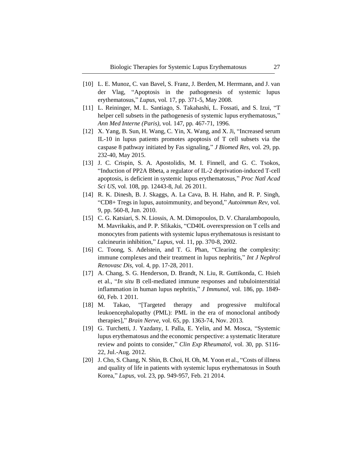- [10] L. E. Munoz, C. van Bavel, S. Franz, J. Berden, M. Herrmann, and J. van der Vlag, "Apoptosis in the pathogenesis of systemic lupus erythematosus," *Lupus,* vol. 17, pp. 371-5, May 2008.
- [11] L. Reininger, M. L. Santiago, S. Takahashi, L. Fossati, and S. Izui, "T helper cell subsets in the pathogenesis of systemic lupus erythematosus," *Ann Med Interne (Paris),* vol. 147, pp. 467-71, 1996.
- [12] X. Yang, B. Sun, H. Wang, C. Yin, X. Wang, and X. Ji, "Increased serum IL-10 in lupus patients promotes apoptosis of T cell subsets via the caspase 8 pathway initiated by Fas signaling," *J Biomed Res,* vol. 29, pp. 232-40, May 2015.
- [13] J. C. Crispin, S. A. Apostolidis, M. I. Finnell, and G. C. Tsokos, "Induction of PP2A Bbeta, a regulator of IL-2 deprivation-induced T-cell apoptosis, is deficient in systemic lupus erythematosus," *Proc Natl Acad Sci US,* vol. 108, pp. 12443-8, Jul. 26 2011.
- [14] R. K. Dinesh, B. J. Skaggs, A. La Cava, B. H. Hahn, and R. P. Singh, "CD8+ Tregs in lupus, autoimmunity, and beyond," *Autoimmun Rev,* vol. 9, pp. 560-8, Jun. 2010.
- [15] C. G. Katsiari, S. N. Liossis, A. M. Dimopoulos, D. V. Charalambopoulo, M. Mavrikakis, and P. P. Sfikakis, "CD40L overexpression on T cells and monocytes from patients with systemic lupus erythematosus is resistant to calcineurin inhibition," *Lupus,* vol. 11, pp. 370-8, 2002.
- [16] C. Toong, S. Adelstein, and T. G. Phan, "Clearing the complexity: immune complexes and their treatment in lupus nephritis," *Int J Nephrol Renovasc Dis,* vol. 4, pp. 17-28, 2011.
- [17] A. Chang, S. G. Henderson, D. Brandt, N. Liu, R. Guttikonda, C. Hsieh et al., "*In situ* B cell-mediated immune responses and tubulointerstitial inflammation in human lupus nephritis," *J Immunol,* vol. 186, pp. 1849- 60, Feb. 1 2011.
- [18] M. Takao, "[Targeted therapy and progressive multifocal leukoencephalopathy (PML): PML in the era of monoclonal antibody therapies]," *Brain Nerve,* vol. 65, pp. 1363-74, Nov. 2013.
- [19] G. Turchetti, J. Yazdany, I. Palla, E. Yelin, and M. Mosca, "Systemic lupus erythematosus and the economic perspective: a systematic literature review and points to consider," *Clin Exp Rheumatol,* vol. 30, pp. S116- 22, Jul.-Aug. 2012.
- [20] J. Cho, S. Chang, N. Shin, B. Choi, H. Oh, M. Yoon et al., "Costs of illness and quality of life in patients with systemic lupus erythematosus in South Korea," *Lupus,* vol. 23, pp. 949-957, Feb. 21 2014.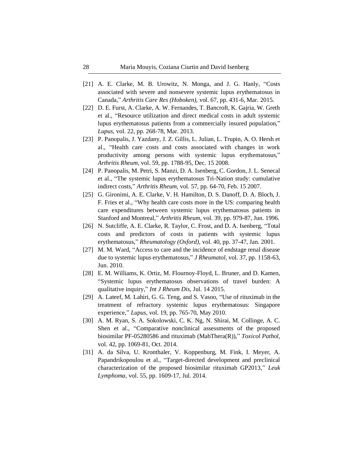- [21] A. E. Clarke, M. B. Urowitz, N. Monga, and J. G. Hanly, "Costs associated with severe and nonsevere systemic lupus erythematosus in Canada," *Arthritis Care Res (Hoboken),* vol. 67, pp. 431-6, Mar. 2015.
- [22] D. E. Furst, A. Clarke, A. W. Fernandes, T. Bancroft, K. Gajria, W. Greth et al., "Resource utilization and direct medical costs in adult systemic lupus erythematosus patients from a commercially insured population," *Lupus,* vol. 22, pp. 268-78, Mar. 2013.
- [23] P. Panopalis, J. Yazdany, J. Z. Gillis, L. Julian, L. Trupin, A. O. Hersh et al., "Health care costs and costs associated with changes in work productivity among persons with systemic lupus erythematosus," *Arthritis Rheum,* vol. 59, pp. 1788-95, Dec. 15 2008.
- [24] P. Panopalis, M. Petri, S. Manzi, D. A. Isenberg, C. Gordon, J. L. Senecal et al., "The systemic lupus erythematosus Tri-Nation study: cumulative indirect costs," *Arthritis Rheum,* vol. 57, pp. 64-70, Feb. 15 2007.
- [25] G. Gironimi, A. E. Clarke, V. H. Hamilton, D. S. Danoff, D. A. Bloch, J. F. Fries et al., "Why health care costs more in the US: comparing health care expenditures between systemic lupus erythematosus patients in Stanford and Montreal," *Arthritis Rheum,* vol. 39, pp. 979-87, Jun. 1996.
- [26] N. Sutcliffe, A. E. Clarke, R. Taylor, C. Frost, and D. A. Isenberg, "Total costs and predictors of costs in patients with systemic lupus erythematosus," *Rheumatology (Oxford),* vol. 40, pp. 37-47, Jan. 2001.
- [27] M. M. Ward, "Access to care and the incidence of endstage renal disease due to systemic lupus erythematosus," *J Rheumatol,* vol. 37, pp. 1158-63, Jun. 2010.
- [28] E. M. Williams, K. Ortiz, M. Flournoy-Floyd, L. Bruner, and D. Kamen, "Systemic lupus erythematosus observations of travel burden: A qualitative inquiry," *Int J Rheum Dis,* Jul. 14 2015.
- [29] A. Lateef, M. Lahiri, G. G. Teng, and S. Vasoo, "Use of rituximab in the treatment of refractory systemic lupus erythematosus: Singapore experience," *Lupus,* vol. 19, pp. 765-70, May 2010.
- [30] A. M. Ryan, S. A. Sokolowski, C. K. Ng, N. Shirai, M. Collinge, A. C. Shen et al., "Comparative nonclinical assessments of the proposed biosimilar PF-05280586 and rituximab (MabThera(R))," *Toxicol Pathol,*  vol. 42, pp. 1069-81, Oct. 2014.
- [31] A. da Silva, U. Kronthaler, V. Koppenburg, M. Fink, I. Meyer, A. Papandrikopoulou et al., "Target-directed development and preclinical characterization of the proposed biosimilar rituximab GP2013," *Leuk Lymphoma,* vol. 55, pp. 1609-17, Jul. 2014.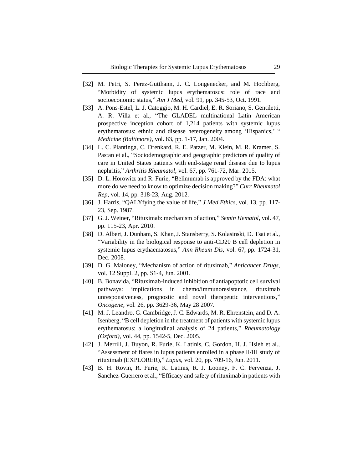- [32] M. Petri, S. Perez-Gutthann, J. C. Longenecker, and M. Hochberg, "Morbidity of systemic lupus erythematosus: role of race and socioeconomic status," *Am J Med,* vol. 91, pp. 345-53, Oct. 1991.
- [33] A. Pons-Estel, L. J. Catoggio, M. H. Cardiel, E. R. Soriano, S. Gentiletti, A. R. Villa et al., "The GLADEL multinational Latin American prospective inception cohort of 1,214 patients with systemic lupus erythematosus: ethnic and disease heterogeneity among 'Hispanics,' " *Medicine (Baltimore)*, vol. 83, pp. 1-17, Jan. 2004.
- [34] L. C. Plantinga, C. Drenkard, R. E. Patzer, M. Klein, M. R. Kramer, S. Pastan et al., "Sociodemographic and geographic predictors of quality of care in United States patients with end-stage renal disease due to lupus nephritis," *Arthritis Rheumatol,* vol. 67, pp. 761-72, Mar. 2015.
- [35] D. L. Horowitz and R. Furie, "Belimumab is approved by the FDA: what more do we need to know to optimize decision making?" *Curr Rheumatol Rep,* vol. 14, pp. 318-23, Aug. 2012.
- [36] J. Harris, "QALYfying the value of life," *J Med Ethics,* vol. 13, pp. 117- 23, Sep. 1987.
- [37] G. J. Weiner, "Rituximab: mechanism of action," *Semin Hematol,* vol. 47, pp. 115-23, Apr. 2010.
- [38] D. Albert, J. Dunham, S. Khan, J. Stansberry, S. Kolasinski, D. Tsai et al., "Variability in the biological response to anti-CD20 B cell depletion in systemic lupus erythaematosus," *Ann Rheum Dis,* vol. 67, pp. 1724-31, Dec. 2008.
- [39] D. G. Maloney, "Mechanism of action of rituximab," *Anticancer Drugs,*  vol. 12 Suppl. 2, pp. S1-4, Jun. 2001.
- [40] B. Bonavida, "Rituximab-induced inhibition of antiapoptotic cell survival pathways: implications in chemo/immunoresistance, rituximab unresponsiveness, prognostic and novel therapeutic interventions," *Oncogene,* vol. 26, pp. 3629-36, May 28 2007.
- [41] M. J. Leandro, G. Cambridge, J. C. Edwards, M. R. Ehrenstein, and D. A. Isenberg, "B cell depletion in the treatment of patients with systemic lupus erythematosus: a longitudinal analysis of 24 patients," *Rheumatology (Oxford),* vol. 44, pp. 1542-5, Dec. 2005.
- [42] J. Merrill, J. Buyon, R. Furie, K. Latinis, C. Gordon, H. J. Hsieh et al., "Assessment of flares in lupus patients enrolled in a phase II/III study of rituximab (EXPLORER)," *Lupus,* vol. 20, pp. 709-16, Jun. 2011.
- [43] B. H. Rovin, R. Furie, K. Latinis, R. J. Looney, F. C. Fervenza, J. Sanchez-Guerrero et al., "Efficacy and safety of rituximab in patients with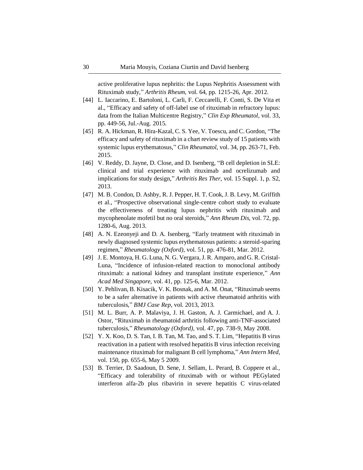active proliferative lupus nephritis: the Lupus Nephritis Assessment with Rituximab study," *Arthritis Rheum,* vol. 64, pp. 1215-26, Apr. 2012.

- [44] L. Iaccarino, E. Bartoloni, L. Carli, F. Ceccarelli, F. Conti, S. De Vita et al., "Efficacy and safety of off-label use of rituximab in refractory lupus: data from the Italian Multicentre Registry," *Clin Exp Rheumatol,* vol. 33, pp. 449-56, Jul.-Aug. 2015.
- [45] R. A. Hickman, R. Hira-Kazal, C. S. Yee, V. Toescu, and C. Gordon, "The efficacy and safety of rituximab in a chart review study of 15 patients with systemic lupus erythematosus," *Clin Rheumatol,* vol. 34, pp. 263-71, Feb. 2015.
- [46] V. Reddy, D. Jayne, D. Close, and D. Isenberg, "B cell depletion in SLE: clinical and trial experience with rituximab and ocrelizumab and implications for study design," *Arthritis Res Ther,* vol. 15 Suppl. 1, p. S2, 2013.
- [47] M. B. Condon, D. Ashby, R. J. Pepper, H. T. Cook, J. B. Levy, M. Griffith et al., "Prospective observational single-centre cohort study to evaluate the effectiveness of treating lupus nephritis with rituximab and mycophenolate mofetil but no oral steroids," *Ann Rheum Dis,* vol. 72, pp. 1280-6, Aug. 2013.
- [48] A. N. Ezeonyeji and D. A. Isenberg, "Early treatment with rituximab in newly diagnosed systemic lupus erythematosus patients: a steroid-sparing regimen," *Rheumatology (Oxford),* vol. 51, pp. 476-81, Mar. 2012.
- [49] J. E. Montoya, H. G. Luna, N. G. Vergara, J. R. Amparo, and G. R. Cristal-Luna, "Incidence of infusion-related reaction to monoclonal antibody rituximab: a national kidney and transplant institute experience," *Ann Acad Med Singapore,* vol. 41, pp. 125-6, Mar. 2012.
- [50] Y. Pehlivan, B. Kisacik, V. K. Bosnak, and A. M. Onat, "Rituximab seems to be a safer alternative in patients with active rheumatoid arthritis with tuberculosis," *BMJ Case Rep,* vol. 2013, 2013.
- [51] M. L. Burr, A. P. Malaviya, J. H. Gaston, A. J. Carmichael, and A. J. Ostor, "Rituximab in rheumatoid arthritis following anti-TNF-associated tuberculosis," *Rheumatology (Oxford),* vol. 47, pp. 738-9, May 2008.
- [52] Y. X. Koo, D. S. Tan, I. B. Tan, M. Tao, and S. T. Lim, "Hepatitis B virus reactivation in a patient with resolved hepatitis B virus infection receiving maintenance rituximab for malignant B cell lymphoma," *Ann Intern Med,*  vol. 150, pp. 655-6, May 5 2009.
- [53] B. Terrier, D. Saadoun, D. Sene, J. Sellam, L. Perard, B. Coppere et al., "Efficacy and tolerability of rituximab with or without PEGylated interferon alfa-2b plus ribavirin in severe hepatitis C virus-related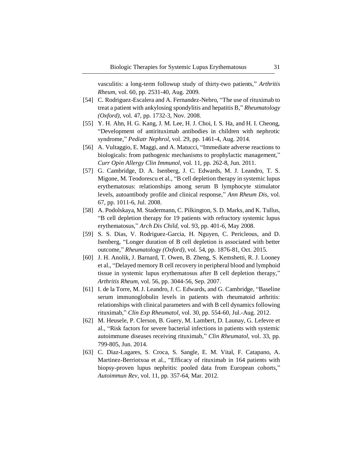vasculitis: a long-term followup study of thirty-two patients," *Arthritis Rheum,* vol. 60, pp. 2531-40, Aug. 2009.

- [54] C. Rodriguez-Escalera and A. Fernandez-Nebro, "The use of rituximab to treat a patient with ankylosing spondylitis and hepatitis B," *Rheumatology (Oxford),* vol. 47, pp. 1732-3, Nov. 2008.
- [55] Y. H. Ahn, H. G. Kang, J. M. Lee, H. J. Choi, I. S. Ha, and H. I. Cheong, "Development of antirituximab antibodies in children with nephrotic syndrome," *Pediatr Nephrol,* vol. 29, pp. 1461-4, Aug. 2014.
- [56] A. Vultaggio, E. Maggi, and A. Matucci, "Immediate adverse reactions to biologicals: from pathogenic mechanisms to prophylactic management," *Curr Opin Allergy Clin Immunol,* vol. 11, pp. 262-8, Jun. 2011.
- [57] G. Cambridge, D. A. Isenberg, J. C. Edwards, M. J. Leandro, T. S. Migone, M. Teodorescu et al., "B cell depletion therapy in systemic lupus erythematosus: relationships among serum B lymphocyte stimulator levels, autoantibody profile and clinical response," *Ann Rheum Dis,* vol. 67, pp. 1011-6, Jul. 2008.
- [58] A. Podolskaya, M. Stadermann, C. Pilkington, S. D. Marks, and K. Tullus, "B cell depletion therapy for 19 patients with refractory systemic lupus erythematosus," *Arch Dis Child,* vol. 93, pp. 401-6, May 2008.
- [59] S. S. Dias, V. Rodriguez-Garcia, H. Nguyen, C. Pericleous, and D. Isenberg, "Longer duration of B cell depletion is associated with better outcome," *Rheumatology (Oxford),* vol. 54, pp. 1876-81, Oct. 2015.
- [60] J. H. Anolik, J. Barnard, T. Owen, B. Zheng, S. Kemshetti, R. J. Looney et al., "Delayed memory B cell recovery in peripheral blood and lymphoid tissue in systemic lupus erythematosus after B cell depletion therapy," *Arthritis Rheum,* vol. 56, pp. 3044-56, Sep. 2007.
- [61] I. de la Torre, M. J. Leandro, J. C. Edwards, and G. Cambridge, "Baseline serum immunoglobulin levels in patients with rheumatoid arthritis: relationships with clinical parameters and with B cell dynamics following rituximab," *Clin Exp Rheumatol,* vol. 30, pp. 554-60, Jul.-Aug. 2012.
- [62] M. Heusele, P. Clerson, B. Guery, M. Lambert, D. Launay, G. Lefevre et al*.*, "Risk factors for severe bacterial infections in patients with systemic autoimmune diseases receiving rituximab," *Clin Rheumatol,* vol. 33, pp. 799-805, Jun. 2014.
- [63] C. Diaz-Lagares, S. Croca, S. Sangle, E. M. Vital, F. Catapano, A. Martinez-Berriotxoa et al., "Efficacy of rituximab in 164 patients with biopsy-proven lupus nephritis: pooled data from European cohorts," *Autoimmun Rev,* vol. 11, pp. 357-64, Mar. 2012.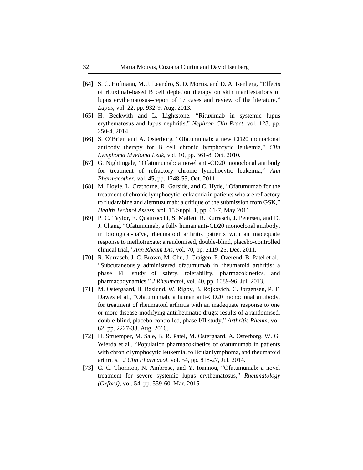- [64] S. C. Hofmann, M. J. Leandro, S. D. Morris, and D. A. Isenberg, "Effects" of rituximab-based B cell depletion therapy on skin manifestations of lupus erythematosus--report of 17 cases and review of the literature," *Lupus,* vol. 22, pp. 932-9, Aug. 2013.
- [65] H. Beckwith and L. Lightstone, "Rituximab in systemic lupus erythematosus and lupus nephritis," *Nephron Clin Pract,* vol. 128, pp. 250-4, 2014.
- [66] S. O'Brien and A. Osterborg, "Ofatumumab: a new CD20 monoclonal antibody therapy for B cell chronic lymphocytic leukemia," *Clin Lymphoma Myeloma Leuk,* vol. 10, pp. 361-8, Oct. 2010.
- [67] G. Nightingale, "Ofatumumab: a novel anti-CD20 monoclonal antibody for treatment of refractory chronic lymphocytic leukemia," *Ann Pharmacother,* vol. 45, pp. 1248-55, Oct. 2011.
- [68] M. Hoyle, L. Crathorne, R. Garside, and C. Hyde, "Ofatumumab for the treatment of chronic lymphocytic leukaemia in patients who are refractory to fludarabine and alemtuzumab: a critique of the submission from GSK," *Health Technol Assess,* vol. 15 Suppl. 1, pp. 61-7, May 2011.
- [69] P. C. Taylor, E. Quattrocchi, S. Mallett, R. Kurrasch, J. Petersen, and D. J. Chang, "Ofatumumab, a fully human anti-CD20 monoclonal antibody, in biological-naïve, rheumatoid arthritis patients with an inadequate response to methotrexate: a randomised, double-blind, placebo-controlled clinical trial," *Ann Rheum Dis,* vol. 70, pp. 2119-25, Dec. 2011.
- [70] R. Kurrasch, J. C. Brown, M. Chu, J. Craigen, P. Overend, B. Patel et al., "Subcutaneously administered ofatumumab in rheumatoid arthritis: a phase I/II study of safety, tolerability, pharmacokinetics, and pharmacodynamics," *J Rheumatol,* vol. 40, pp. 1089-96, Jul. 2013.
- [71] M. Ostergaard, B. Baslund, W. Rigby, B. Rojkovich, C. Jorgensen, P. T. Dawes et al., "Ofatumumab, a human anti-CD20 monoclonal antibody, for treatment of rheumatoid arthritis with an inadequate response to one or more disease-modifying antirheumatic drugs: results of a randomised, double-blind, placebo-controlled, phase I/II study," *Arthritis Rheum,* vol. 62, pp. 2227-38, Aug. 2010.
- [72] H. Struemper, M. Sale, B. R. Patel, M. Ostergaard, A. Osterborg, W. G. Wierda et al., "Population pharmacokinetics of ofatumumab in patients with chronic lymphocytic leukemia, follicular lymphoma, and rheumatoid arthritis," *J Clin Pharmacol,* vol. 54, pp. 818-27, Jul. 2014.
- [73] C. C. Thornton, N. Ambrose, and Y. Ioannou, "Ofatumumab: a novel treatment for severe systemic lupus erythematosus," *Rheumatology (Oxford),* vol. 54, pp. 559-60, Mar. 2015.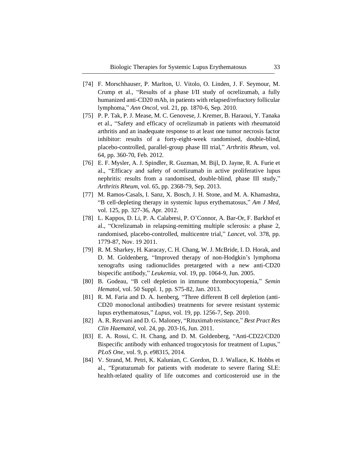- [74] F. Morschhauser, P. Marlton, U. Vitolo, O. Linden, J. F. Seymour, M. Crump et al., "Results of a phase I/II study of ocrelizumab, a fully humanized anti-CD20 mAb, in patients with relapsed/refractory follicular lymphoma," *Ann Oncol,* vol. 21, pp. 1870-6, Sep. 2010.
- [75] P. P. Tak, P. J. Mease, M. C. Genovese, J. Kremer, B. Haraoui, Y. Tanaka et al., "Safety and efficacy of ocrelizumab in patients with rheumatoid arthritis and an inadequate response to at least one tumor necrosis factor inhibitor: results of a forty-eight-week randomised, double-blind, placebo-controlled, parallel-group phase III trial," *Arthritis Rheum,* vol. 64, pp. 360-70, Feb. 2012.
- [76] E. F. Mysler, A. J. Spindler, R. Guzman, M. Bijl, D. Jayne, R. A. Furie et al., "Efficacy and safety of ocrelizumab in active proliferative lupus nephritis: results from a randomised, double-blind, phase III study," *Arthritis Rheum,* vol. 65, pp. 2368-79, Sep. 2013.
- [77] M. Ramos-Casals, I. Sanz, X. Bosch, J. H. Stone, and M. A. Khamashta, "B cell-depleting therapy in systemic lupus erythematosus," *Am J Med,*  vol. 125, pp. 327-36, Apr. 2012.
- [78] L. Kappos, D. Li, P. A. Calabresi, P. O'Connor, A. Bar-Or, F. Barkhof et al., "Ocrelizumab in relapsing-remitting multiple sclerosis: a phase 2, randomised, placebo-controlled, multicentre trial," *Lancet,* vol. 378, pp. 1779-87, Nov. 19 2011.
- [79] R. M. Sharkey, H. Karacay, C. H. Chang, W. J. McBride, I. D. Horak, and D. M. Goldenberg, "Improved therapy of non-Hodgkin's lymphoma xenografts using radionuclides pretargeted with a new anti-CD20 bispecific antibody," *Leukemia,* vol. 19, pp. 1064-9, Jun. 2005.
- [80] B. Godeau, "B cell depletion in immune thrombocytopenia," *Semin Hematol,* vol. 50 Suppl. 1, pp. S75-82, Jan. 2013.
- [81] R. M. Faria and D. A. Isenberg, "Three different B cell depletion (anti-CD20 monoclonal antibodies) treatments for severe resistant systemic lupus erythematosus," *Lupus,* vol. 19, pp. 1256-7, Sep. 2010.
- [82] A. R. Rezvani and D. G. Maloney, "Rituximab resistance," *Best Pract Res Clin Haematol,* vol. 24, pp. 203-16, Jun. 2011.
- [83] E. A. Rossi, C. H. Chang, and D. M. Goldenberg, "Anti-CD22/CD20 Bispecific antibody with enhanced trogocytosis for treatment of Lupus," *PLoS One*, vol. 9, p. e98315, 2014.
- [84] V. Strand, M. Petri, K. Kalunian, C. Gordon, D. J. Wallace, K. Hobbs et al., "Epratuzumab for patients with moderate to severe flaring SLE: health-related quality of life outcomes and corticosteroid use in the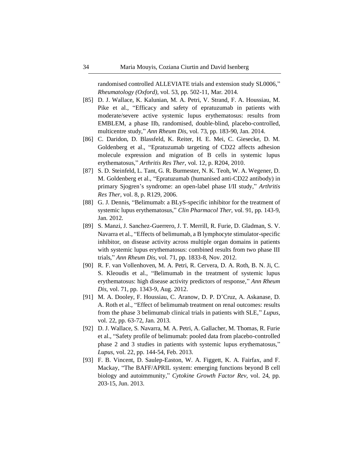randomised controlled ALLEVIATE trials and extension study SL0006," *Rheumatology (Oxford),* vol. 53, pp. 502-11, Mar. 2014.

- [85] D. J. Wallace, K. Kalunian, M. A. Petri, V. Strand, F. A. Houssiau, M. Pike et al., "Efficacy and safety of epratuzumab in patients with moderate/severe active systemic lupus erythematosus: results from EMBLEM, a phase IIb, randomised, double-blind, placebo-controlled, multicentre study," *Ann Rheum Dis,* vol. 73, pp. 183-90, Jan. 2014.
- [86] C. Daridon, D. Blassfeld, K. Reiter, H. E. Mei, C. Giesecke, D. M. Goldenberg et al., "Epratuzumab targeting of CD22 affects adhesion molecule expression and migration of B cells in systemic lupus erythematosus," *Arthritis Res Ther,* vol. 12, p. R204, 2010.
- [87] S. D. Steinfeld, L. Tant, G. R. Burmester, N. K. Teoh, W. A. Wegener, D. M. Goldenberg et al., "Epratuzumab (humanised anti-CD22 antibody) in primary Sjogren's syndrome: an open-label phase I/II study," *Arthritis Res Ther,* vol. 8, p. R129, 2006.
- [88] G. J. Dennis, "Belimumab: a BLyS-specific inhibitor for the treatment of systemic lupus erythematosus," *Clin Pharmacol Ther,* vol. 91, pp. 143-9, Jan. 2012.
- [89] S. Manzi, J. Sanchez-Guerrero, J. T. Merrill, R. Furie, D. Gladman, S. V. Navarra et al., "Effects of belimumab, a B lymphocyte stimulator-specific inhibitor, on disease activity across multiple organ domains in patients with systemic lupus erythematosus: combined results from two phase III trials," *Ann Rheum Dis,* vol. 71, pp. 1833-8, Nov. 2012.
- [90] R. F. van Vollenhoven, M. A. Petri, R. Cervera, D. A. Roth, B. N. Ji, C. S. Kleoudis et al., "Belimumab in the treatment of systemic lupus erythematosus: high disease activity predictors of response," *Ann Rheum Dis,* vol. 71, pp. 1343-9, Aug. 2012.
- [91] M. A. Dooley, F. Houssiau, C. Aranow, D. P. D'Cruz, A. Askanase, D. A. Roth et al., "Effect of belimumab treatment on renal outcomes: results from the phase 3 belimumab clinical trials in patients with SLE," *Lupus,*  vol. 22, pp. 63-72, Jan. 2013.
- [92] D. J. Wallace, S. Navarra, M. A. Petri, A. Gallacher, M. Thomas, R. Furie et al., "Safety profile of belimumab: pooled data from placebo-controlled phase 2 and 3 studies in patients with systemic lupus erythematosus," *Lupus,* vol. 22, pp. 144-54, Feb. 2013.
- [93] F. B. Vincent, D. Saulep-Easton, W. A. Figgett, K. A. Fairfax, and F. Mackay, "The BAFF/APRIL system: emerging functions beyond B cell biology and autoimmunity," *Cytokine Growth Factor Rev,* vol. 24, pp. 203-15, Jun. 2013.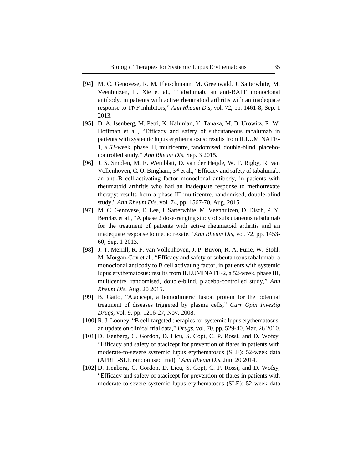- [94] M. C. Genovese, R. M. Fleischmann, M. Greenwald, J. Satterwhite, M. Veenhuizen, L. Xie et al., "Tabalumab, an anti-BAFF monoclonal antibody, in patients with active rheumatoid arthritis with an inadequate response to TNF inhibitors," *Ann Rheum Dis,* vol. 72, pp. 1461-8, Sep. 1 2013.
- [95] D. A. Isenberg, M. Petri, K. Kalunian, Y. Tanaka, M. B. Urowitz, R. W. Hoffman et al., "Efficacy and safety of subcutaneous tabalumab in patients with systemic lupus erythematosus: results from ILLUMINATE-1, a 52-week, phase III, multicentre, randomised, double-blind, placebocontrolled study," *Ann Rheum Dis,* Sep. 3 2015.
- [96] J. S. Smolen, M. E. Weinblatt, D. van der Heijde, W. F. Rigby, R. van Vollenhoven, C. O. Bingham, 3rd et al., "Efficacy and safety of tabalumab, an anti-B cell-activating factor monoclonal antibody, in patients with rheumatoid arthritis who had an inadequate response to methotrexate therapy: results from a phase III multicentre, randomised, double-blind study," *Ann Rheum Dis,* vol. 74, pp. 1567-70, Aug. 2015.
- [97] M. C. Genovese, E. Lee, J. Satterwhite, M. Veenhuizen, D. Disch, P. Y. Berclaz et al., "A phase 2 dose-ranging study of subcutaneous tabalumab for the treatment of patients with active rheumatoid arthritis and an inadequate response to methotrexate," *Ann Rheum Dis,* vol. 72, pp. 1453- 60, Sep. 1 2013.
- [98] J. T. Merrill, R. F. van Vollenhoven, J. P. Buyon, R. A. Furie, W. Stohl, M. Morgan-Cox et al., "Efficacy and safety of subcutaneous tabalumab, a monoclonal antibody to B cell activating factor, in patients with systemic lupus erythematosus: results from ILLUMINATE-2, a 52-week, phase III, multicentre, randomised, double-blind, placebo-controlled study," *Ann Rheum Dis,* Aug. 20 2015.
- [99] B. Gatto, "Atacicept, a homodimeric fusion protein for the potential treatment of diseases triggered by plasma cells," *Curr Opin Investig Drugs,* vol. 9, pp. 1216-27, Nov. 2008.
- [100] R. J. Looney, "B cell-targeted therapies for systemic lupus erythematosus: an update on clinical trial data," *Drugs,* vol. 70, pp. 529-40, Mar. 26 2010.
- [101] D. Isenberg, C. Gordon, D. Licu, S. Copt, C. P. Rossi, and D. Wofsy, "Efficacy and safety of atacicept for prevention of flares in patients with moderate-to-severe systemic lupus erythematosus (SLE): 52-week data (APRIL-SLE randomised trial)," *Ann Rheum Dis,* Jun. 20 2014.
- [102] D. Isenberg, C. Gordon, D. Licu, S. Copt, C. P. Rossi, and D. Wofsy, "Efficacy and safety of atacicept for prevention of flares in patients with moderate-to-severe systemic lupus erythematosus (SLE): 52-week data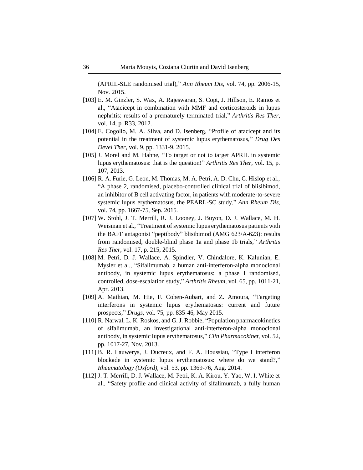(APRIL-SLE randomised trial)," *Ann Rheum Dis,* vol. 74, pp. 2006-15, Nov. 2015.

- [103] E. M. Ginzler, S. Wax, A. Rajeswaran, S. Copt, J. Hillson, E. Ramos et al., "Atacicept in combination with MMF and corticosteroids in lupus nephritis: results of a prematurely terminated trial," *Arthritis Res Ther,*  vol. 14, p. R33, 2012.
- [104] E. Cogollo, M. A. Silva, and D. Isenberg, "Profile of atacicept and its potential in the treatment of systemic lupus erythematosus," *Drug Des Devel Ther,* vol. 9, pp. 1331-9, 2015.
- [105] J. Morel and M. Hahne, "To target or not to target APRIL in systemic lupus erythematosus: that is the question!" *Arthritis Res Ther,* vol. 15, p. 107, 2013.
- [106] R. A. Furie, G. Leon, M. Thomas, M. A. Petri, A. D. Chu, C. Hislop et al., "A phase 2, randomised, placebo-controlled clinical trial of blisibimod, an inhibitor of B cell activating factor, in patients with moderate-to-severe systemic lupus erythematosus, the PEARL-SC study," *Ann Rheum Dis,*  vol. 74, pp. 1667-75, Sep. 2015.
- [107] W. Stohl, J. T. Merrill, R. J. Looney, J. Buyon, D. J. Wallace, M. H. Weisman et al., "Treatment of systemic lupus erythematosus patients with the BAFF antagonist "peptibody" blisibimod (AMG 623/A-623): results from randomised, double-blind phase 1a and phase 1b trials," *Arthritis Res Ther,* vol. 17, p. 215, 2015.
- [108] M. Petri, D. J. Wallace, A. Spindler, V. Chindalore, K. Kalunian, E. Mysler et al., "Sifalimumab, a human anti-interferon-alpha monoclonal antibody, in systemic lupus erythematosus: a phase I randomised, controlled, dose-escalation study," *Arthritis Rheum,* vol. 65, pp. 1011-21, Apr. 2013.
- [109] A. Mathian, M. Hie, F. Cohen-Aubart, and Z. Amoura, "Targeting interferons in systemic lupus erythematosus: current and future prospects," *Drugs,* vol. 75, pp. 835-46, May 2015.
- [110] R. Narwal, L. K. Roskos, and G. J. Robbie, "Population pharmacokinetics of sifalimumab, an investigational anti-interferon-alpha monoclonal antibody, in systemic lupus erythematosus," *Clin Pharmacokinet,* vol. 52, pp. 1017-27, Nov. 2013.
- [111] B. R. Lauwerys, J. Ducreux, and F. A. Houssiau, "Type I interferon blockade in systemic lupus erythematosus: where do we stand?," *Rheumatology (Oxford),* vol. 53, pp. 1369-76, Aug. 2014.
- [112] J. T. Merrill, D. J. Wallace, M. Petri, K. A. Kirou, Y. Yao, W. I. White et al., "Safety profile and clinical activity of sifalimumab, a fully human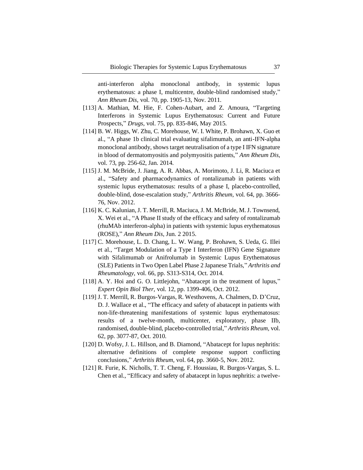anti-interferon alpha monoclonal antibody, in systemic lupus erythematosus: a phase I, multicentre, double-blind randomised study," *Ann Rheum Dis,* vol. 70, pp. 1905-13, Nov. 2011.

- [113] A. Mathian, M. Hie, F. Cohen-Aubart, and Z. Amoura, "Targeting Interferons in Systemic Lupus Erythematosus: Current and Future Prospects," *Drugs,* vol. 75, pp. 835-846, May 2015.
- [114] B. W. Higgs, W. Zhu, C. Morehouse, W. I. White, P. Brohawn, X. Guo et al*.*, "A phase 1b clinical trial evaluating sifalimumab, an anti-IFN-alpha monoclonal antibody, shows target neutralisation of a type I IFN signature in blood of dermatomyositis and polymyositis patients," *Ann Rheum Dis,*  vol. 73, pp. 256-62, Jan. 2014.
- [115] J. M. McBride, J. Jiang, A. R. Abbas, A. Morimoto, J. Li, R. Maciuca et al., "Safety and pharmacodynamics of rontalizumab in patients with systemic lupus erythematosus: results of a phase I, placebo-controlled, double-blind, dose-escalation study," *Arthritis Rheum,* vol. 64, pp. 3666- 76, Nov. 2012.
- [116] K. C. Kalunian, J. T. Merrill, R. Maciuca, J. M. McBride, M. J. Townsend, X. Wei et al., "A Phase II study of the efficacy and safety of rontalizumab (rhuMAb interferon-alpha) in patients with systemic lupus erythematosus (ROSE)," *Ann Rheum Dis*, Jun. 2 2015.
- [117] C. Morehouse, L. D. Chang, L. W. Wang, P. Brohawn, S. Ueda, G. Illei et al., "Target Modulation of a Type I Interferon (IFN) Gene Signature with Sifalimumab or Anifrolumab in Systemic Lupus Erythematosus (SLE) Patients in Two Open Label Phase 2 Japanese Trials," *Arthritis and Rheumatology,* vol. 66, pp. S313-S314, Oct. 2014.
- [118] A. Y. Hoi and G. O. Littlejohn, "Abatacept in the treatment of lupus," *Expert Opin Biol Ther,* vol. 12, pp. 1399-406, Oct. 2012.
- [119] J. T. Merrill, R. Burgos-Vargas, R. Westhovens, A. Chalmers, D. D'Cruz, D. J. Wallace et al., "The efficacy and safety of abatacept in patients with non-life-threatening manifestations of systemic lupus erythematosus: results of a twelve-month, multicenter, exploratory, phase IIb, randomised, double-blind, placebo-controlled trial," *Arthritis Rheum,* vol. 62, pp. 3077-87, Oct. 2010.
- [120] D. Wofsy, J. L. Hillson, and B. Diamond, "Abatacept for lupus nephritis: alternative definitions of complete response support conflicting conclusions," *Arthritis Rheum,* vol. 64, pp. 3660-5, Nov. 2012.
- [121] R. Furie, K. Nicholls, T. T. Cheng, F. Houssiau, R. Burgos-Vargas, S. L. Chen et al., "Efficacy and safety of abatacept in lupus nephritis: a twelve-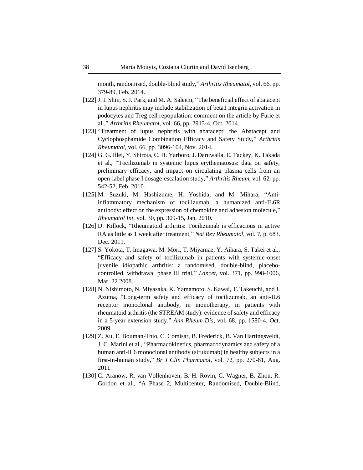month, randomised, double-blind study," *Arthritis Rheumatol,* vol. 66, pp. 379-89, Feb. 2014.

- [122] J. I. Shin, S. J. Park, and M. A. Saleem, "The beneficial effect of abatacept in lupus nephritis may include stabilization of beta1 integrin activation in podocytes and Treg cell repopulation: comment on the article by Furie et al.," *Arthritis Rheumatol,* vol. 66, pp. 2913-4, Oct. 2014.
- [123] "Treatment of lupus nephritis with abatacept: the Abatacept and Cyclophosphamide Combination Efficacy and Safety Study," *Arthritis Rheumatol,* vol. 66, pp. 3096-104, Nov. 2014.
- [124] G. G. Illei, Y. Shirota, C. H. Yarboro, J. Daruwalla, E. Tackey, K. Takada et al., "Tocilizumab in systemic lupus erythematosus: data on safety, preliminary efficacy, and impact on circulating plasma cells from an open-label phase I dosage-escalation study," *Arthritis Rheum,* vol. 62, pp. 542-52, Feb. 2010.
- [125] M. Suzuki, M. Hashizume, H. Yoshida, and M. Mihara, "Antiinflammatory mechanism of tocilizumab, a humanized anti-IL6R antibody: effect on the expression of chemokine and adhesion molecule," *Rheumatol Int,* vol. 30, pp. 309-15, Jan. 2010.
- [126] D. Killock, "Rheumatoid arthritis: Tocilizumab is efficacious in active RA as little as 1 week after treatment," *Nat Rev Rheumatol,* vol. 7, p. 683, Dec. 2011.
- [127] S. Yokota, T. Imagawa, M. Mori, T. Miyamae, Y. Aihara, S. Takei et al., "Efficacy and safety of tocilizumab in patients with systemic-onset juvenile idiopathic arthritis: a randomised, double-blind, placebocontrolled, withdrawal phase III trial," *Lancet,* vol. 371, pp. 998-1006, Mar. 22 2008.
- [128] N. Nishimoto, N. Miyasaka, K. Yamamoto, S. Kawai, T. Takeuchi, and J. Azuma, "Long-term safety and efficacy of tocilizumab, an anti-IL6 receptor monoclonal antibody, in monotherapy, in patients with rheumatoid arthritis (the STREAM study): evidence of safety and efficacy in a 5-year extension study," *Ann Rheum Dis*, vol. 68, pp. 1580-4, Oct. 2009.
- [129] Z. Xu, E. Bouman-Thio, C. Comisar, B. Frederick, B. Van Hartingsveldt, J. C. Marini et al., "Pharmacokinetics, pharmacodynamics and safety of a human anti-IL6 monoclonal antibody (sirukumab) in healthy subjects in a first-in-human study," *Br J Clin Pharmacol,* vol. 72, pp. 270-81, Aug. 2011.
- [130] C. Aranow, R. van Vollenhoven, B. H. Rovin, C. Wagner, B. Zhou, R. Gordon et al., "A Phase 2, Multicenter, Randomised, Double-Blind,